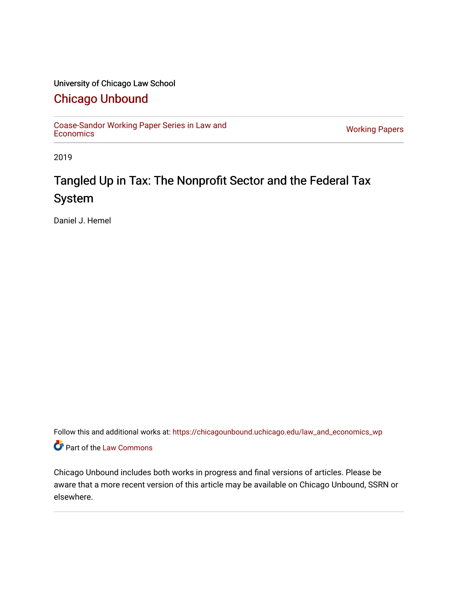# University of Chicago Law School

# [Chicago Unbound](https://chicagounbound.uchicago.edu/)

[Coase-Sandor Working Paper Series in Law and](https://chicagounbound.uchicago.edu/law_and_economics_wp) [Economics](https://chicagounbound.uchicago.edu/law_and_economics_wp) [Working Papers](https://chicagounbound.uchicago.edu/working_papers) 

2019

# Tangled Up in Tax: The Nonprofit Sector and the Federal Tax System

Daniel J. Hemel

Follow this and additional works at: [https://chicagounbound.uchicago.edu/law\\_and\\_economics\\_wp](https://chicagounbound.uchicago.edu/law_and_economics_wp?utm_source=chicagounbound.uchicago.edu%2Flaw_and_economics_wp%2F67&utm_medium=PDF&utm_campaign=PDFCoverPages)  Part of the [Law Commons](http://network.bepress.com/hgg/discipline/578?utm_source=chicagounbound.uchicago.edu%2Flaw_and_economics_wp%2F67&utm_medium=PDF&utm_campaign=PDFCoverPages)

Chicago Unbound includes both works in progress and final versions of articles. Please be aware that a more recent version of this article may be available on Chicago Unbound, SSRN or elsewhere.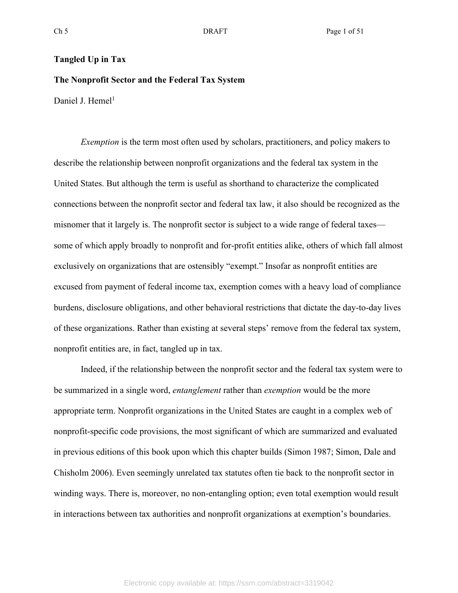# **Tangled Up in Tax**

# **The Nonprofit Sector and the Federal Tax System**

Daniel J. Hemel $1$ 

*Exemption* is the term most often used by scholars, practitioners, and policy makers to describe the relationship between nonprofit organizations and the federal tax system in the United States. But although the term is useful as shorthand to characterize the complicated connections between the nonprofit sector and federal tax law, it also should be recognized as the misnomer that it largely is. The nonprofit sector is subject to a wide range of federal taxes some of which apply broadly to nonprofit and for-profit entities alike, others of which fall almost exclusively on organizations that are ostensibly "exempt." Insofar as nonprofit entities are excused from payment of federal income tax, exemption comes with a heavy load of compliance burdens, disclosure obligations, and other behavioral restrictions that dictate the day-to-day lives of these organizations. Rather than existing at several steps' remove from the federal tax system, nonprofit entities are, in fact, tangled up in tax.

Indeed, if the relationship between the nonprofit sector and the federal tax system were to be summarized in a single word, *entanglement* rather than *exemption* would be the more appropriate term. Nonprofit organizations in the United States are caught in a complex web of nonprofit-specific code provisions, the most significant of which are summarized and evaluated in previous editions of this book upon which this chapter builds (Simon 1987; Simon, Dale and Chisholm 2006). Even seemingly unrelated tax statutes often tie back to the nonprofit sector in winding ways. There is, moreover, no non-entangling option; even total exemption would result in interactions between tax authorities and nonprofit organizations at exemption's boundaries.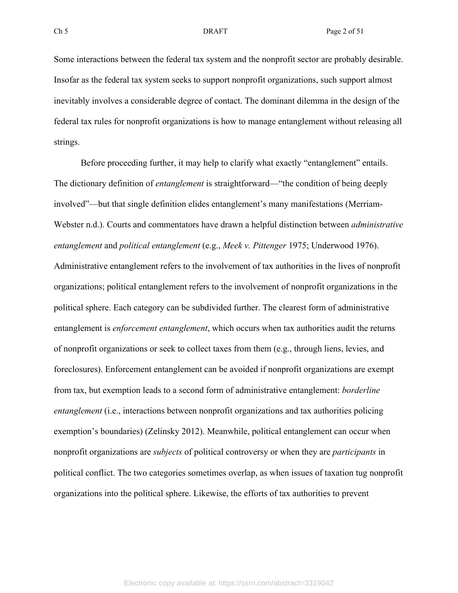Some interactions between the federal tax system and the nonprofit sector are probably desirable. Insofar as the federal tax system seeks to support nonprofit organizations, such support almost inevitably involves a considerable degree of contact. The dominant dilemma in the design of the federal tax rules for nonprofit organizations is how to manage entanglement without releasing all strings.

Before proceeding further, it may help to clarify what exactly "entanglement" entails. The dictionary definition of *entanglement* is straightforward—"the condition of being deeply involved"—but that single definition elides entanglement's many manifestations (Merriam-Webster n.d.). Courts and commentators have drawn a helpful distinction between *administrative entanglement* and *political entanglement* (e.g., *Meek v. Pittenger* 1975; Underwood 1976). Administrative entanglement refers to the involvement of tax authorities in the lives of nonprofit organizations; political entanglement refers to the involvement of nonprofit organizations in the political sphere. Each category can be subdivided further. The clearest form of administrative entanglement is *enforcement entanglement*, which occurs when tax authorities audit the returns of nonprofit organizations or seek to collect taxes from them (e.g., through liens, levies, and foreclosures). Enforcement entanglement can be avoided if nonprofit organizations are exempt from tax, but exemption leads to a second form of administrative entanglement: *borderline entanglement* (i.e., interactions between nonprofit organizations and tax authorities policing exemption's boundaries) (Zelinsky 2012). Meanwhile, political entanglement can occur when nonprofit organizations are *subjects* of political controversy or when they are *participants* in political conflict. The two categories sometimes overlap, as when issues of taxation tug nonprofit organizations into the political sphere. Likewise, the efforts of tax authorities to prevent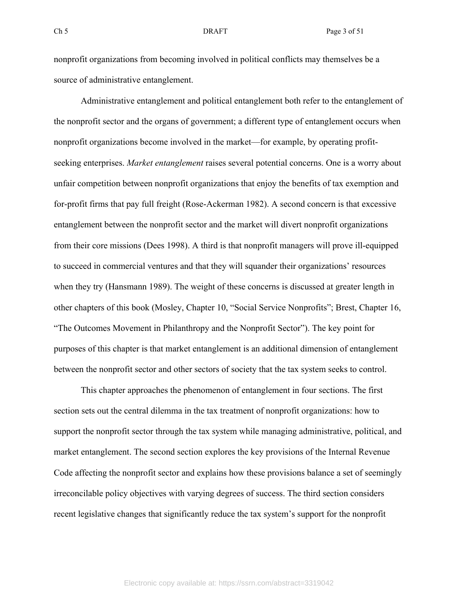nonprofit organizations from becoming involved in political conflicts may themselves be a source of administrative entanglement.

Administrative entanglement and political entanglement both refer to the entanglement of the nonprofit sector and the organs of government; a different type of entanglement occurs when nonprofit organizations become involved in the market—for example, by operating profitseeking enterprises. *Market entanglement* raises several potential concerns. One is a worry about unfair competition between nonprofit organizations that enjoy the benefits of tax exemption and for-profit firms that pay full freight (Rose-Ackerman 1982). A second concern is that excessive entanglement between the nonprofit sector and the market will divert nonprofit organizations from their core missions (Dees 1998). A third is that nonprofit managers will prove ill-equipped to succeed in commercial ventures and that they will squander their organizations' resources when they try (Hansmann 1989). The weight of these concerns is discussed at greater length in other chapters of this book (Mosley, Chapter 10, "Social Service Nonprofits"; Brest, Chapter 16, "The Outcomes Movement in Philanthropy and the Nonprofit Sector"). The key point for purposes of this chapter is that market entanglement is an additional dimension of entanglement between the nonprofit sector and other sectors of society that the tax system seeks to control.

This chapter approaches the phenomenon of entanglement in four sections. The first section sets out the central dilemma in the tax treatment of nonprofit organizations: how to support the nonprofit sector through the tax system while managing administrative, political, and market entanglement. The second section explores the key provisions of the Internal Revenue Code affecting the nonprofit sector and explains how these provisions balance a set of seemingly irreconcilable policy objectives with varying degrees of success. The third section considers recent legislative changes that significantly reduce the tax system's support for the nonprofit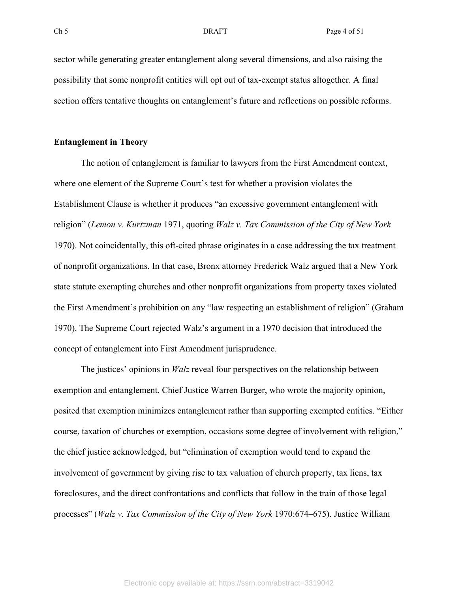sector while generating greater entanglement along several dimensions, and also raising the possibility that some nonprofit entities will opt out of tax-exempt status altogether. A final section offers tentative thoughts on entanglement's future and reflections on possible reforms.

## **Entanglement in Theory**

The notion of entanglement is familiar to lawyers from the First Amendment context, where one element of the Supreme Court's test for whether a provision violates the Establishment Clause is whether it produces "an excessive government entanglement with religion" (*Lemon v. Kurtzman* 1971, quoting *Walz v. Tax Commission of the City of New York* 1970). Not coincidentally, this oft-cited phrase originates in a case addressing the tax treatment of nonprofit organizations. In that case, Bronx attorney Frederick Walz argued that a New York state statute exempting churches and other nonprofit organizations from property taxes violated the First Amendment's prohibition on any "law respecting an establishment of religion" (Graham 1970). The Supreme Court rejected Walz's argument in a 1970 decision that introduced the concept of entanglement into First Amendment jurisprudence.

The justices' opinions in *Walz* reveal four perspectives on the relationship between exemption and entanglement. Chief Justice Warren Burger, who wrote the majority opinion, posited that exemption minimizes entanglement rather than supporting exempted entities. "Either course, taxation of churches or exemption, occasions some degree of involvement with religion," the chief justice acknowledged, but "elimination of exemption would tend to expand the involvement of government by giving rise to tax valuation of church property, tax liens, tax foreclosures, and the direct confrontations and conflicts that follow in the train of those legal processes" (*Walz v. Tax Commission of the City of New York* 1970:674–675). Justice William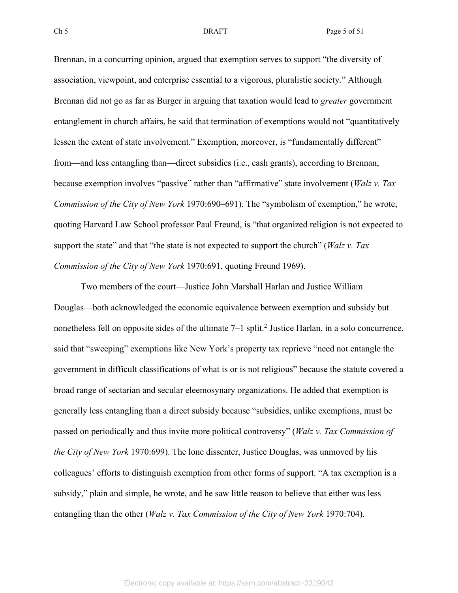Brennan, in a concurring opinion, argued that exemption serves to support "the diversity of association, viewpoint, and enterprise essential to a vigorous, pluralistic society." Although Brennan did not go as far as Burger in arguing that taxation would lead to *greater* government entanglement in church affairs, he said that termination of exemptions would not "quantitatively lessen the extent of state involvement." Exemption, moreover, is "fundamentally different" from—and less entangling than—direct subsidies (i.e., cash grants), according to Brennan, because exemption involves "passive" rather than "affirmative" state involvement (*Walz v. Tax Commission of the City of New York* 1970:690–691). The "symbolism of exemption," he wrote, quoting Harvard Law School professor Paul Freund, is "that organized religion is not expected to support the state" and that "the state is not expected to support the church" (*Walz v. Tax Commission of the City of New York* 1970:691, quoting Freund 1969).

Two members of the court—Justice John Marshall Harlan and Justice William Douglas—both acknowledged the economic equivalence between exemption and subsidy but nonetheless fell on opposite sides of the ultimate  $7-1$  split.<sup>2</sup> Justice Harlan, in a solo concurrence, said that "sweeping" exemptions like New York's property tax reprieve "need not entangle the government in difficult classifications of what is or is not religious" because the statute covered a broad range of sectarian and secular eleemosynary organizations. He added that exemption is generally less entangling than a direct subsidy because "subsidies, unlike exemptions, must be passed on periodically and thus invite more political controversy" (*Walz v. Tax Commission of the City of New York* 1970:699). The lone dissenter, Justice Douglas, was unmoved by his colleagues' efforts to distinguish exemption from other forms of support. "A tax exemption is a subsidy," plain and simple, he wrote, and he saw little reason to believe that either was less entangling than the other (*Walz v. Tax Commission of the City of New York* 1970:704).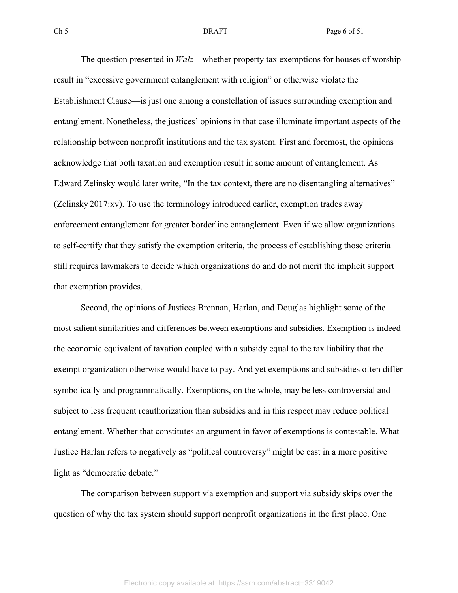The question presented in *Walz*—whether property tax exemptions for houses of worship result in "excessive government entanglement with religion" or otherwise violate the Establishment Clause—is just one among a constellation of issues surrounding exemption and entanglement. Nonetheless, the justices' opinions in that case illuminate important aspects of the relationship between nonprofit institutions and the tax system. First and foremost, the opinions acknowledge that both taxation and exemption result in some amount of entanglement. As Edward Zelinsky would later write, "In the tax context, there are no disentangling alternatives" (Zelinsky 2017:xv). To use the terminology introduced earlier, exemption trades away enforcement entanglement for greater borderline entanglement. Even if we allow organizations to self-certify that they satisfy the exemption criteria, the process of establishing those criteria still requires lawmakers to decide which organizations do and do not merit the implicit support that exemption provides.

Second, the opinions of Justices Brennan, Harlan, and Douglas highlight some of the most salient similarities and differences between exemptions and subsidies. Exemption is indeed the economic equivalent of taxation coupled with a subsidy equal to the tax liability that the exempt organization otherwise would have to pay. And yet exemptions and subsidies often differ symbolically and programmatically. Exemptions, on the whole, may be less controversial and subject to less frequent reauthorization than subsidies and in this respect may reduce political entanglement. Whether that constitutes an argument in favor of exemptions is contestable. What Justice Harlan refers to negatively as "political controversy" might be cast in a more positive light as "democratic debate."

The comparison between support via exemption and support via subsidy skips over the question of why the tax system should support nonprofit organizations in the first place. One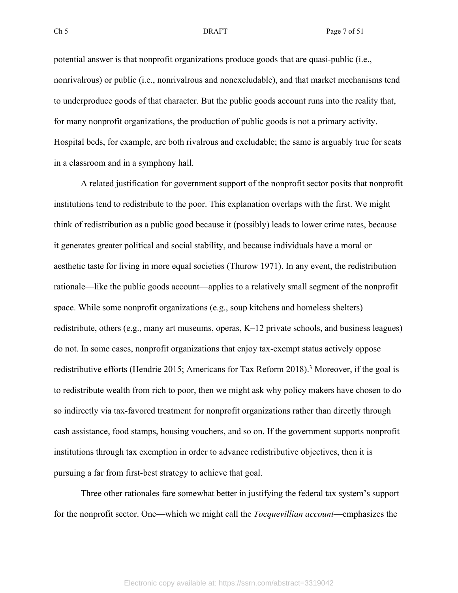potential answer is that nonprofit organizations produce goods that are quasi-public (i.e., nonrivalrous) or public (i.e., nonrivalrous and nonexcludable), and that market mechanisms tend to underproduce goods of that character. But the public goods account runs into the reality that, for many nonprofit organizations, the production of public goods is not a primary activity. Hospital beds, for example, are both rivalrous and excludable; the same is arguably true for seats in a classroom and in a symphony hall.

A related justification for government support of the nonprofit sector posits that nonprofit institutions tend to redistribute to the poor. This explanation overlaps with the first. We might think of redistribution as a public good because it (possibly) leads to lower crime rates, because it generates greater political and social stability, and because individuals have a moral or aesthetic taste for living in more equal societies (Thurow 1971). In any event, the redistribution rationale—like the public goods account—applies to a relatively small segment of the nonprofit space. While some nonprofit organizations (e.g., soup kitchens and homeless shelters) redistribute, others (e.g., many art museums, operas, K–12 private schools, and business leagues) do not. In some cases, nonprofit organizations that enjoy tax-exempt status actively oppose redistributive efforts (Hendrie 2015; Americans for Tax Reform 2018).<sup>3</sup> Moreover, if the goal is to redistribute wealth from rich to poor, then we might ask why policy makers have chosen to do so indirectly via tax-favored treatment for nonprofit organizations rather than directly through cash assistance, food stamps, housing vouchers, and so on. If the government supports nonprofit institutions through tax exemption in order to advance redistributive objectives, then it is pursuing a far from first-best strategy to achieve that goal.

Three other rationales fare somewhat better in justifying the federal tax system's support for the nonprofit sector. One—which we might call the *Tocquevillian account*—emphasizes the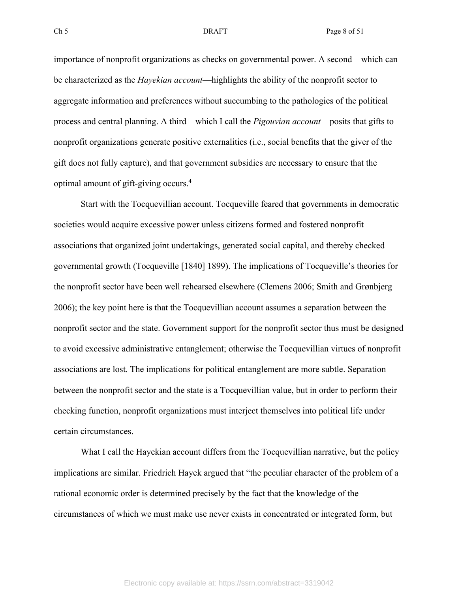importance of nonprofit organizations as checks on governmental power. A second—which can be characterized as the *Hayekian account*—highlights the ability of the nonprofit sector to aggregate information and preferences without succumbing to the pathologies of the political process and central planning. A third—which I call the *Pigouvian account*—posits that gifts to nonprofit organizations generate positive externalities (i.e., social benefits that the giver of the gift does not fully capture), and that government subsidies are necessary to ensure that the optimal amount of gift-giving occurs.4

Start with the Tocquevillian account. Tocqueville feared that governments in democratic societies would acquire excessive power unless citizens formed and fostered nonprofit associations that organized joint undertakings, generated social capital, and thereby checked governmental growth (Tocqueville [1840] 1899). The implications of Tocqueville's theories for the nonprofit sector have been well rehearsed elsewhere (Clemens 2006; Smith and Grønbjerg 2006); the key point here is that the Tocquevillian account assumes a separation between the nonprofit sector and the state. Government support for the nonprofit sector thus must be designed to avoid excessive administrative entanglement; otherwise the Tocquevillian virtues of nonprofit associations are lost. The implications for political entanglement are more subtle. Separation between the nonprofit sector and the state is a Tocquevillian value, but in order to perform their checking function, nonprofit organizations must interject themselves into political life under certain circumstances.

What I call the Hayekian account differs from the Tocquevillian narrative, but the policy implications are similar. Friedrich Hayek argued that "the peculiar character of the problem of a rational economic order is determined precisely by the fact that the knowledge of the circumstances of which we must make use never exists in concentrated or integrated form, but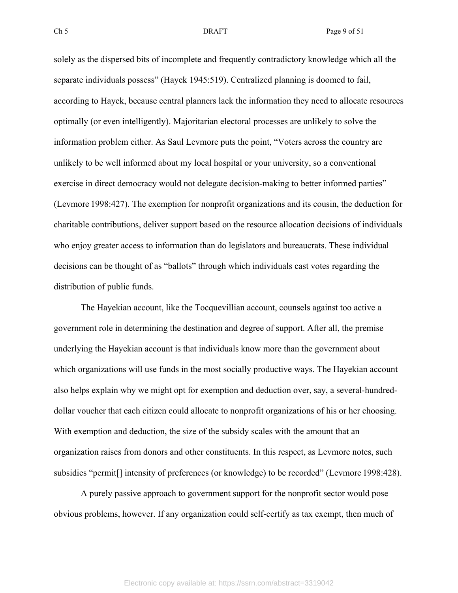solely as the dispersed bits of incomplete and frequently contradictory knowledge which all the separate individuals possess" (Hayek 1945:519). Centralized planning is doomed to fail, according to Hayek, because central planners lack the information they need to allocate resources optimally (or even intelligently). Majoritarian electoral processes are unlikely to solve the information problem either. As Saul Levmore puts the point, "Voters across the country are unlikely to be well informed about my local hospital or your university, so a conventional exercise in direct democracy would not delegate decision-making to better informed parties" (Levmore 1998:427). The exemption for nonprofit organizations and its cousin, the deduction for charitable contributions, deliver support based on the resource allocation decisions of individuals who enjoy greater access to information than do legislators and bureaucrats. These individual decisions can be thought of as "ballots" through which individuals cast votes regarding the distribution of public funds.

The Hayekian account, like the Tocquevillian account, counsels against too active a government role in determining the destination and degree of support. After all, the premise underlying the Hayekian account is that individuals know more than the government about which organizations will use funds in the most socially productive ways. The Hayekian account also helps explain why we might opt for exemption and deduction over, say, a several-hundreddollar voucher that each citizen could allocate to nonprofit organizations of his or her choosing. With exemption and deduction, the size of the subsidy scales with the amount that an organization raises from donors and other constituents. In this respect, as Levmore notes, such subsidies "permit[] intensity of preferences (or knowledge) to be recorded" (Levmore 1998:428).

A purely passive approach to government support for the nonprofit sector would pose obvious problems, however. If any organization could self-certify as tax exempt, then much of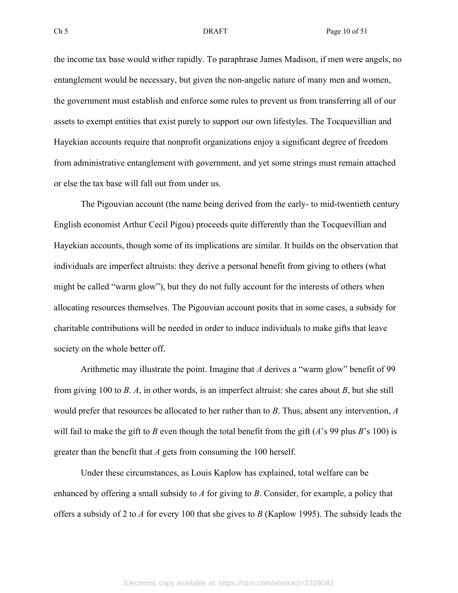the income tax base would wither rapidly. To paraphrase James Madison, if men were angels, no entanglement would be necessary, but given the non-angelic nature of many men and women, the government must establish and enforce some rules to prevent us from transferring all of our assets to exempt entities that exist purely to support our own lifestyles. The Tocquevillian and Hayekian accounts require that nonprofit organizations enjoy a significant degree of freedom from administrative entanglement with government, and yet some strings must remain attached or else the tax base will fall out from under us.

The Pigouvian account (the name being derived from the early- to mid-twentieth century English economist Arthur Cecil Pigou) proceeds quite differently than the Tocquevillian and Hayekian accounts, though some of its implications are similar. It builds on the observation that individuals are imperfect altruists: they derive a personal benefit from giving to others (what might be called "warm glow"), but they do not fully account for the interests of others when allocating resources themselves. The Pigouvian account posits that in some cases, a subsidy for charitable contributions will be needed in order to induce individuals to make gifts that leave society on the whole better off.

Arithmetic may illustrate the point. Imagine that *A* derives a "warm glow" benefit of 99 from giving 100 to *B*. *A*, in other words, is an imperfect altruist: she cares about *B*, but she still would prefer that resources be allocated to her rather than to *B*. Thus, absent any intervention, *A* will fail to make the gift to *B* even though the total benefit from the gift  $(A \text{'s } 99 \text{ plus } B \text{'s } 100)$  is greater than the benefit that *A* gets from consuming the 100 herself.

Under these circumstances, as Louis Kaplow has explained, total welfare can be enhanced by offering a small subsidy to *A* for giving to *B*. Consider, for example, a policy that offers a subsidy of 2 to *A* for every 100 that she gives to *B* (Kaplow 1995). The subsidy leads the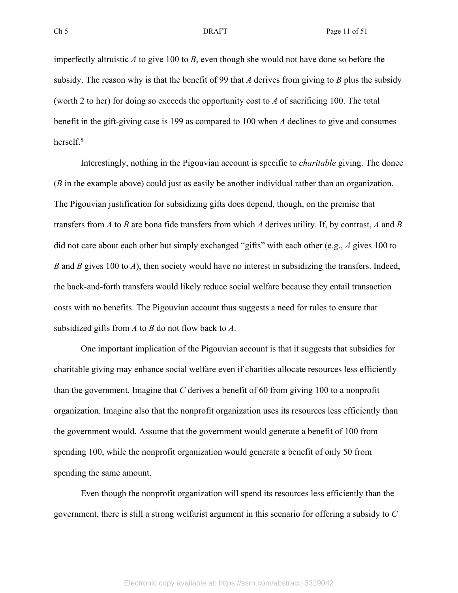imperfectly altruistic *A* to give 100 to *B*, even though she would not have done so before the subsidy. The reason why is that the benefit of 99 that *A* derives from giving to *B* plus the subsidy (worth 2 to her) for doing so exceeds the opportunity cost to *A* of sacrificing 100. The total benefit in the gift-giving case is 199 as compared to 100 when *A* declines to give and consumes herself.5

Interestingly, nothing in the Pigouvian account is specific to *charitable* giving. The donee (*B* in the example above) could just as easily be another individual rather than an organization. The Pigouvian justification for subsidizing gifts does depend, though, on the premise that transfers from *A* to *B* are bona fide transfers from which *A* derives utility. If, by contrast, *A* and *B* did not care about each other but simply exchanged "gifts" with each other (e.g., *A* gives 100 to *B* and *B* gives 100 to *A*), then society would have no interest in subsidizing the transfers. Indeed, the back-and-forth transfers would likely reduce social welfare because they entail transaction costs with no benefits. The Pigouvian account thus suggests a need for rules to ensure that subsidized gifts from *A* to *B* do not flow back to *A*.

One important implication of the Pigouvian account is that it suggests that subsidies for charitable giving may enhance social welfare even if charities allocate resources less efficiently than the government. Imagine that *C* derives a benefit of 60 from giving 100 to a nonprofit organization. Imagine also that the nonprofit organization uses its resources less efficiently than the government would. Assume that the government would generate a benefit of 100 from spending 100, while the nonprofit organization would generate a benefit of only 50 from spending the same amount.

Even though the nonprofit organization will spend its resources less efficiently than the government, there is still a strong welfarist argument in this scenario for offering a subsidy to *C*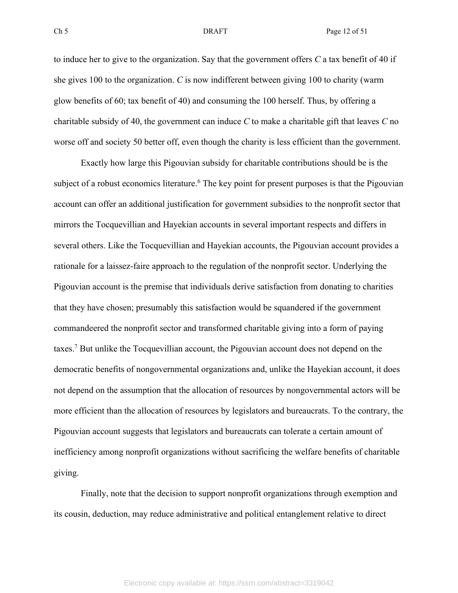to induce her to give to the organization. Say that the government offers *C* a tax benefit of 40 if she gives 100 to the organization. *C* is now indifferent between giving 100 to charity (warm glow benefits of 60; tax benefit of 40) and consuming the 100 herself. Thus, by offering a charitable subsidy of 40, the government can induce *C* to make a charitable gift that leaves *C* no worse off and society 50 better off, even though the charity is less efficient than the government.

Exactly how large this Pigouvian subsidy for charitable contributions should be is the subject of a robust economics literature.<sup>6</sup> The key point for present purposes is that the Pigouvian account can offer an additional justification for government subsidies to the nonprofit sector that mirrors the Tocquevillian and Hayekian accounts in several important respects and differs in several others. Like the Tocquevillian and Hayekian accounts, the Pigouvian account provides a rationale for a laissez-faire approach to the regulation of the nonprofit sector. Underlying the Pigouvian account is the premise that individuals derive satisfaction from donating to charities that they have chosen; presumably this satisfaction would be squandered if the government commandeered the nonprofit sector and transformed charitable giving into a form of paying taxes.7 But unlike the Tocquevillian account, the Pigouvian account does not depend on the democratic benefits of nongovernmental organizations and, unlike the Hayekian account, it does not depend on the assumption that the allocation of resources by nongovernmental actors will be more efficient than the allocation of resources by legislators and bureaucrats. To the contrary, the Pigouvian account suggests that legislators and bureaucrats can tolerate a certain amount of inefficiency among nonprofit organizations without sacrificing the welfare benefits of charitable giving.

Finally, note that the decision to support nonprofit organizations through exemption and its cousin, deduction, may reduce administrative and political entanglement relative to direct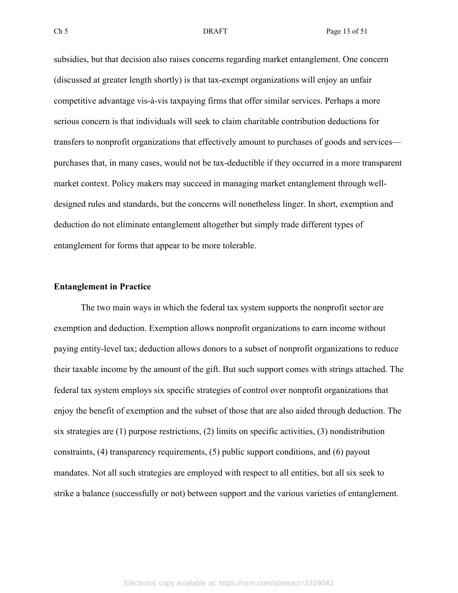subsidies, but that decision also raises concerns regarding market entanglement. One concern (discussed at greater length shortly) is that tax-exempt organizations will enjoy an unfair competitive advantage vis-à-vis taxpaying firms that offer similar services. Perhaps a more serious concern is that individuals will seek to claim charitable contribution deductions for transfers to nonprofit organizations that effectively amount to purchases of goods and services purchases that, in many cases, would not be tax-deductible if they occurred in a more transparent market context. Policy makers may succeed in managing market entanglement through welldesigned rules and standards, but the concerns will nonetheless linger. In short, exemption and deduction do not eliminate entanglement altogether but simply trade different types of entanglement for forms that appear to be more tolerable.

### **Entanglement in Practice**

The two main ways in which the federal tax system supports the nonprofit sector are exemption and deduction. Exemption allows nonprofit organizations to earn income without paying entity-level tax; deduction allows donors to a subset of nonprofit organizations to reduce their taxable income by the amount of the gift. But such support comes with strings attached. The federal tax system employs six specific strategies of control over nonprofit organizations that enjoy the benefit of exemption and the subset of those that are also aided through deduction. The six strategies are (1) purpose restrictions, (2) limits on specific activities, (3) nondistribution constraints, (4) transparency requirements, (5) public support conditions, and (6) payout mandates. Not all such strategies are employed with respect to all entities, but all six seek to strike a balance (successfully or not) between support and the various varieties of entanglement.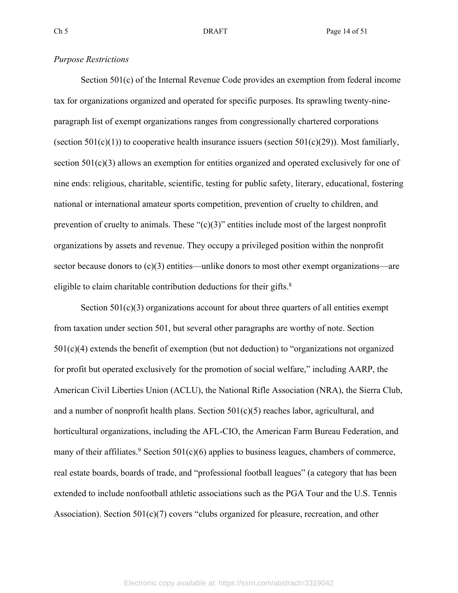# *Purpose Restrictions*

Section 501(c) of the Internal Revenue Code provides an exemption from federal income tax for organizations organized and operated for specific purposes. Its sprawling twenty-nineparagraph list of exempt organizations ranges from congressionally chartered corporations (section  $501(c)(1)$ ) to cooperative health insurance issuers (section  $501(c)(29)$ ). Most familiarly, section 501(c)(3) allows an exemption for entities organized and operated exclusively for one of nine ends: religious, charitable, scientific, testing for public safety, literary, educational, fostering national or international amateur sports competition, prevention of cruelty to children, and prevention of cruelty to animals. These " $(c)(3)$ " entities include most of the largest nonprofit organizations by assets and revenue. They occupy a privileged position within the nonprofit sector because donors to  $(c)(3)$  entities—unlike donors to most other exempt organizations—are eligible to claim charitable contribution deductions for their gifts.<sup>8</sup>

Section  $501(c)(3)$  organizations account for about three quarters of all entities exempt from taxation under section 501, but several other paragraphs are worthy of note. Section 501(c)(4) extends the benefit of exemption (but not deduction) to "organizations not organized for profit but operated exclusively for the promotion of social welfare," including AARP, the American Civil Liberties Union (ACLU), the National Rifle Association (NRA), the Sierra Club, and a number of nonprofit health plans. Section  $501(c)(5)$  reaches labor, agricultural, and horticultural organizations, including the AFL-CIO, the American Farm Bureau Federation, and many of their affiliates.<sup>9</sup> Section 501(c)(6) applies to business leagues, chambers of commerce, real estate boards, boards of trade, and "professional football leagues" (a category that has been extended to include nonfootball athletic associations such as the PGA Tour and the U.S. Tennis Association). Section 501(c)(7) covers "clubs organized for pleasure, recreation, and other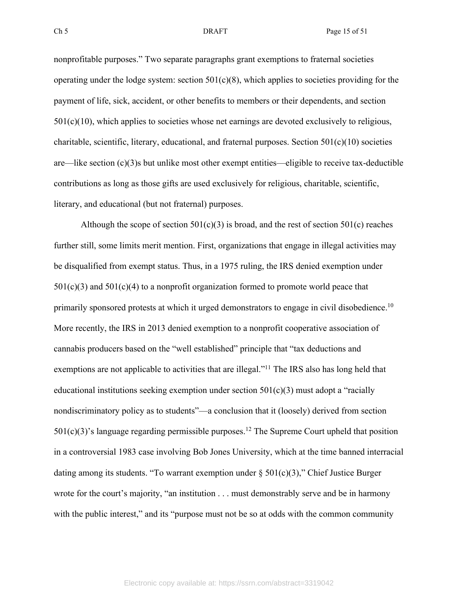nonprofitable purposes." Two separate paragraphs grant exemptions to fraternal societies operating under the lodge system: section  $501(c)(8)$ , which applies to societies providing for the payment of life, sick, accident, or other benefits to members or their dependents, and section 501(c)(10), which applies to societies whose net earnings are devoted exclusively to religious, charitable, scientific, literary, educational, and fraternal purposes. Section  $501(c)(10)$  societies are—like section (c)(3)s but unlike most other exempt entities—eligible to receive tax-deductible contributions as long as those gifts are used exclusively for religious, charitable, scientific, literary, and educational (but not fraternal) purposes.

Although the scope of section  $501(c)(3)$  is broad, and the rest of section  $501(c)$  reaches further still, some limits merit mention. First, organizations that engage in illegal activities may be disqualified from exempt status. Thus, in a 1975 ruling, the IRS denied exemption under  $501(c)(3)$  and  $501(c)(4)$  to a nonprofit organization formed to promote world peace that primarily sponsored protests at which it urged demonstrators to engage in civil disobedience.<sup>10</sup> More recently, the IRS in 2013 denied exemption to a nonprofit cooperative association of cannabis producers based on the "well established" principle that "tax deductions and exemptions are not applicable to activities that are illegal."<sup>11</sup> The IRS also has long held that educational institutions seeking exemption under section  $501(c)(3)$  must adopt a "racially nondiscriminatory policy as to students"—a conclusion that it (loosely) derived from section  $501(c)(3)$ 's language regarding permissible purposes.<sup>12</sup> The Supreme Court upheld that position in a controversial 1983 case involving Bob Jones University, which at the time banned interracial dating among its students. "To warrant exemption under  $\S$  501(c)(3)," Chief Justice Burger wrote for the court's majority, "an institution . . . must demonstrably serve and be in harmony with the public interest," and its "purpose must not be so at odds with the common community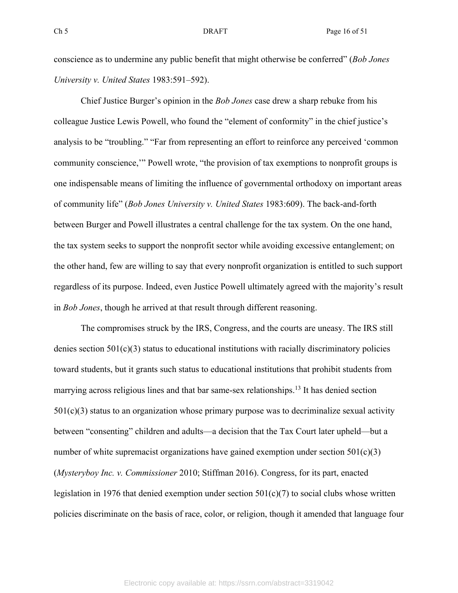conscience as to undermine any public benefit that might otherwise be conferred" (*Bob Jones University v. United States* 1983:591–592).

Chief Justice Burger's opinion in the *Bob Jones* case drew a sharp rebuke from his colleague Justice Lewis Powell, who found the "element of conformity" in the chief justice's analysis to be "troubling." "Far from representing an effort to reinforce any perceived 'common community conscience,'" Powell wrote, "the provision of tax exemptions to nonprofit groups is one indispensable means of limiting the influence of governmental orthodoxy on important areas of community life" (*Bob Jones University v. United States* 1983:609). The back-and-forth between Burger and Powell illustrates a central challenge for the tax system. On the one hand, the tax system seeks to support the nonprofit sector while avoiding excessive entanglement; on the other hand, few are willing to say that every nonprofit organization is entitled to such support regardless of its purpose. Indeed, even Justice Powell ultimately agreed with the majority's result in *Bob Jones*, though he arrived at that result through different reasoning.

The compromises struck by the IRS, Congress, and the courts are uneasy. The IRS still denies section  $501(c)(3)$  status to educational institutions with racially discriminatory policies toward students, but it grants such status to educational institutions that prohibit students from marrying across religious lines and that bar same-sex relationships.<sup>13</sup> It has denied section  $501(c)(3)$  status to an organization whose primary purpose was to decriminalize sexual activity between "consenting" children and adults—a decision that the Tax Court later upheld—but a number of white supremacist organizations have gained exemption under section  $501(c)(3)$ (*Mysteryboy Inc. v. Commissioner* 2010; Stiffman 2016). Congress, for its part, enacted legislation in 1976 that denied exemption under section 501(c)(7) to social clubs whose written policies discriminate on the basis of race, color, or religion, though it amended that language four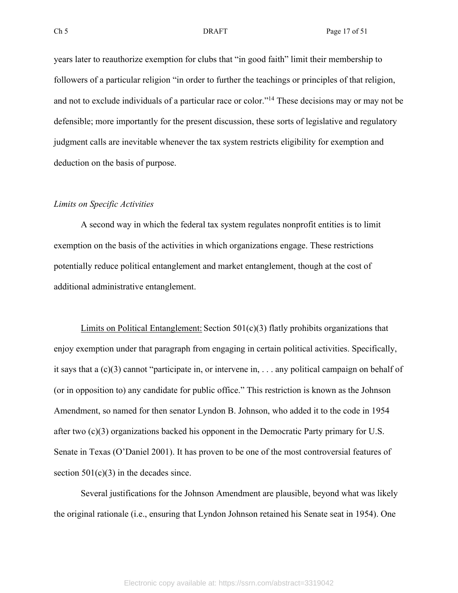years later to reauthorize exemption for clubs that "in good faith" limit their membership to followers of a particular religion "in order to further the teachings or principles of that religion, and not to exclude individuals of a particular race or color."14 These decisions may or may not be defensible; more importantly for the present discussion, these sorts of legislative and regulatory judgment calls are inevitable whenever the tax system restricts eligibility for exemption and deduction on the basis of purpose.

### *Limits on Specific Activities*

A second way in which the federal tax system regulates nonprofit entities is to limit exemption on the basis of the activities in which organizations engage. These restrictions potentially reduce political entanglement and market entanglement, though at the cost of additional administrative entanglement.

Limits on Political Entanglement: Section 501(c)(3) flatly prohibits organizations that enjoy exemption under that paragraph from engaging in certain political activities. Specifically, it says that a (c)(3) cannot "participate in, or intervene in, . . . any political campaign on behalf of (or in opposition to) any candidate for public office." This restriction is known as the Johnson Amendment, so named for then senator Lyndon B. Johnson, who added it to the code in 1954 after two (c)(3) organizations backed his opponent in the Democratic Party primary for U.S. Senate in Texas (O'Daniel 2001). It has proven to be one of the most controversial features of section  $501(c)(3)$  in the decades since.

Several justifications for the Johnson Amendment are plausible, beyond what was likely the original rationale (i.e., ensuring that Lyndon Johnson retained his Senate seat in 1954). One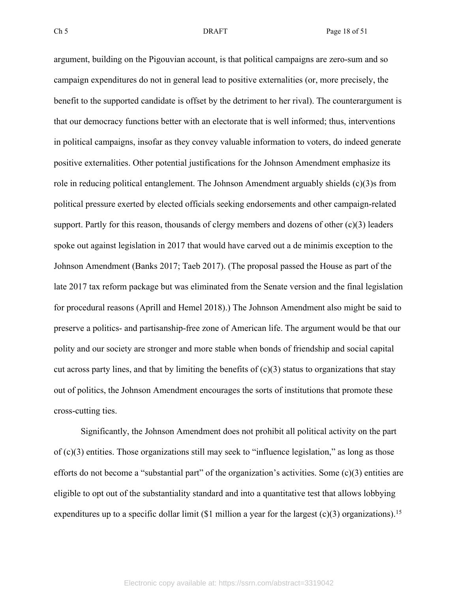argument, building on the Pigouvian account, is that political campaigns are zero-sum and so campaign expenditures do not in general lead to positive externalities (or, more precisely, the benefit to the supported candidate is offset by the detriment to her rival). The counterargument is that our democracy functions better with an electorate that is well informed; thus, interventions in political campaigns, insofar as they convey valuable information to voters, do indeed generate positive externalities. Other potential justifications for the Johnson Amendment emphasize its role in reducing political entanglement. The Johnson Amendment arguably shields (c)(3)s from political pressure exerted by elected officials seeking endorsements and other campaign-related support. Partly for this reason, thousands of clergy members and dozens of other  $(c)(3)$  leaders spoke out against legislation in 2017 that would have carved out a de minimis exception to the Johnson Amendment (Banks 2017; Taeb 2017). (The proposal passed the House as part of the late 2017 tax reform package but was eliminated from the Senate version and the final legislation for procedural reasons (Aprill and Hemel 2018).) The Johnson Amendment also might be said to preserve a politics- and partisanship-free zone of American life. The argument would be that our polity and our society are stronger and more stable when bonds of friendship and social capital cut across party lines, and that by limiting the benefits of  $(c)(3)$  status to organizations that stay out of politics, the Johnson Amendment encourages the sorts of institutions that promote these cross-cutting ties.

Significantly, the Johnson Amendment does not prohibit all political activity on the part of  $(c)(3)$  entities. Those organizations still may seek to "influence legislation," as long as those efforts do not become a "substantial part" of the organization's activities. Some (c)(3) entities are eligible to opt out of the substantiality standard and into a quantitative test that allows lobbying expenditures up to a specific dollar limit (\$1 million a year for the largest  $(c)(3)$  organizations).<sup>15</sup>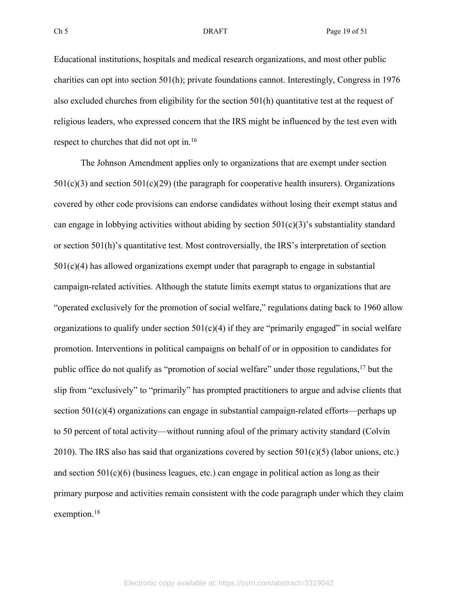Educational institutions, hospitals and medical research organizations, and most other public charities can opt into section 501(h); private foundations cannot. Interestingly, Congress in 1976 also excluded churches from eligibility for the section 501(h) quantitative test at the request of religious leaders, who expressed concern that the IRS might be influenced by the test even with respect to churches that did not opt in.16

The Johnson Amendment applies only to organizations that are exempt under section  $501(c)(3)$  and section  $501(c)(29)$  (the paragraph for cooperative health insurers). Organizations covered by other code provisions can endorse candidates without losing their exempt status and can engage in lobbying activities without abiding by section  $501(c)(3)$ 's substantiality standard or section 501(h)'s quantitative test. Most controversially, the IRS's interpretation of section  $501(c)(4)$  has allowed organizations exempt under that paragraph to engage in substantial campaign-related activities. Although the statute limits exempt status to organizations that are "operated exclusively for the promotion of social welfare," regulations dating back to 1960 allow organizations to qualify under section  $501(c)(4)$  if they are "primarily engaged" in social welfare promotion. Interventions in political campaigns on behalf of or in opposition to candidates for public office do not qualify as "promotion of social welfare" under those regulations,<sup>17</sup> but the slip from "exclusively" to "primarily" has prompted practitioners to argue and advise clients that section 501(c)(4) organizations can engage in substantial campaign-related efforts—perhaps up to 50 percent of total activity—without running afoul of the primary activity standard (Colvin 2010). The IRS also has said that organizations covered by section  $501(c)(5)$  (labor unions, etc.) and section  $501(c)(6)$  (business leagues, etc.) can engage in political action as long as their primary purpose and activities remain consistent with the code paragraph under which they claim exemption.18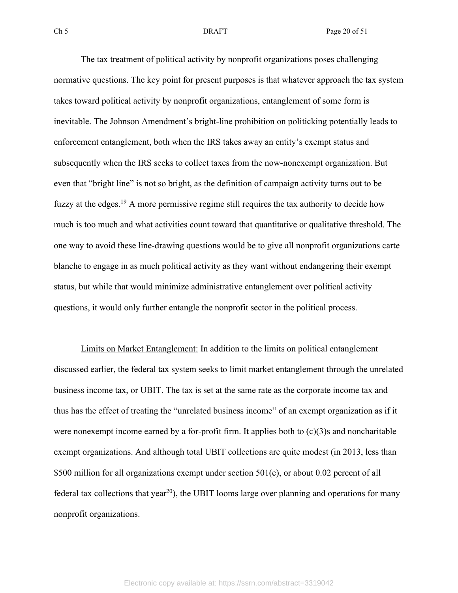The tax treatment of political activity by nonprofit organizations poses challenging normative questions. The key point for present purposes is that whatever approach the tax system takes toward political activity by nonprofit organizations, entanglement of some form is inevitable. The Johnson Amendment's bright-line prohibition on politicking potentially leads to enforcement entanglement, both when the IRS takes away an entity's exempt status and subsequently when the IRS seeks to collect taxes from the now-nonexempt organization. But even that "bright line" is not so bright, as the definition of campaign activity turns out to be fuzzy at the edges.19 A more permissive regime still requires the tax authority to decide how much is too much and what activities count toward that quantitative or qualitative threshold. The one way to avoid these line-drawing questions would be to give all nonprofit organizations carte blanche to engage in as much political activity as they want without endangering their exempt status, but while that would minimize administrative entanglement over political activity questions, it would only further entangle the nonprofit sector in the political process.

Limits on Market Entanglement: In addition to the limits on political entanglement discussed earlier, the federal tax system seeks to limit market entanglement through the unrelated business income tax, or UBIT. The tax is set at the same rate as the corporate income tax and thus has the effect of treating the "unrelated business income" of an exempt organization as if it were nonexempt income earned by a for-profit firm. It applies both to  $(c)(3)$ s and noncharitable exempt organizations. And although total UBIT collections are quite modest (in 2013, less than \$500 million for all organizations exempt under section 501(c), or about 0.02 percent of all federal tax collections that year<sup>20</sup>), the UBIT looms large over planning and operations for many nonprofit organizations.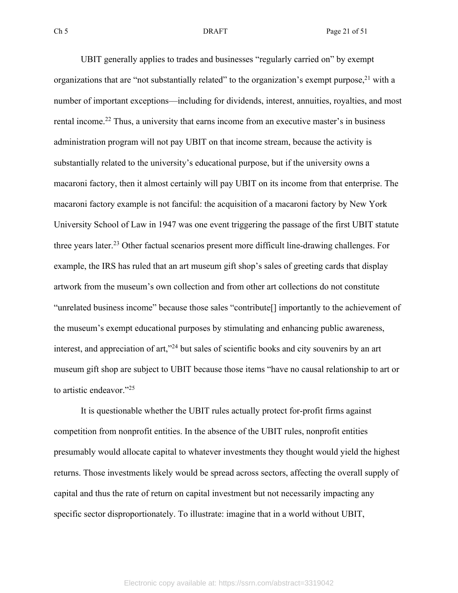UBIT generally applies to trades and businesses "regularly carried on" by exempt organizations that are "not substantially related" to the organization's exempt purpose,  $21$  with a number of important exceptions—including for dividends, interest, annuities, royalties, and most rental income.<sup>22</sup> Thus, a university that earns income from an executive master's in business administration program will not pay UBIT on that income stream, because the activity is substantially related to the university's educational purpose, but if the university owns a macaroni factory, then it almost certainly will pay UBIT on its income from that enterprise. The macaroni factory example is not fanciful: the acquisition of a macaroni factory by New York University School of Law in 1947 was one event triggering the passage of the first UBIT statute three years later.23 Other factual scenarios present more difficult line-drawing challenges. For example, the IRS has ruled that an art museum gift shop's sales of greeting cards that display artwork from the museum's own collection and from other art collections do not constitute "unrelated business income" because those sales "contribute[] importantly to the achievement of the museum's exempt educational purposes by stimulating and enhancing public awareness, interest, and appreciation of art,"<sup>24</sup> but sales of scientific books and city souvenirs by an art museum gift shop are subject to UBIT because those items "have no causal relationship to art or to artistic endeavor."25

It is questionable whether the UBIT rules actually protect for-profit firms against competition from nonprofit entities. In the absence of the UBIT rules, nonprofit entities presumably would allocate capital to whatever investments they thought would yield the highest returns. Those investments likely would be spread across sectors, affecting the overall supply of capital and thus the rate of return on capital investment but not necessarily impacting any specific sector disproportionately. To illustrate: imagine that in a world without UBIT,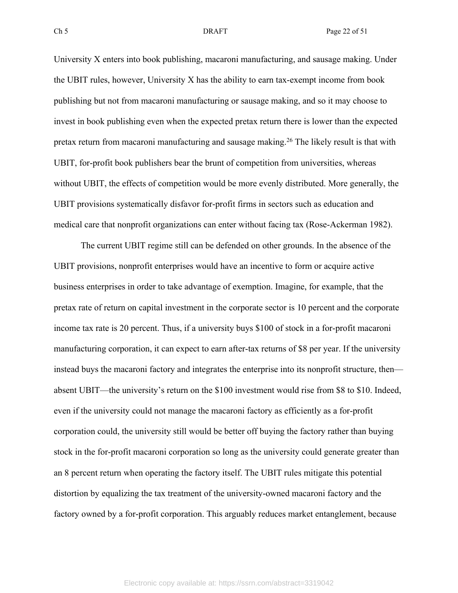University X enters into book publishing, macaroni manufacturing, and sausage making. Under the UBIT rules, however, University X has the ability to earn tax-exempt income from book publishing but not from macaroni manufacturing or sausage making, and so it may choose to invest in book publishing even when the expected pretax return there is lower than the expected pretax return from macaroni manufacturing and sausage making.<sup>26</sup> The likely result is that with UBIT, for-profit book publishers bear the brunt of competition from universities, whereas without UBIT, the effects of competition would be more evenly distributed. More generally, the UBIT provisions systematically disfavor for-profit firms in sectors such as education and medical care that nonprofit organizations can enter without facing tax (Rose-Ackerman 1982).

The current UBIT regime still can be defended on other grounds. In the absence of the UBIT provisions, nonprofit enterprises would have an incentive to form or acquire active business enterprises in order to take advantage of exemption. Imagine, for example, that the pretax rate of return on capital investment in the corporate sector is 10 percent and the corporate income tax rate is 20 percent. Thus, if a university buys \$100 of stock in a for-profit macaroni manufacturing corporation, it can expect to earn after-tax returns of \$8 per year. If the university instead buys the macaroni factory and integrates the enterprise into its nonprofit structure, then absent UBIT—the university's return on the \$100 investment would rise from \$8 to \$10. Indeed, even if the university could not manage the macaroni factory as efficiently as a for-profit corporation could, the university still would be better off buying the factory rather than buying stock in the for-profit macaroni corporation so long as the university could generate greater than an 8 percent return when operating the factory itself. The UBIT rules mitigate this potential distortion by equalizing the tax treatment of the university-owned macaroni factory and the factory owned by a for-profit corporation. This arguably reduces market entanglement, because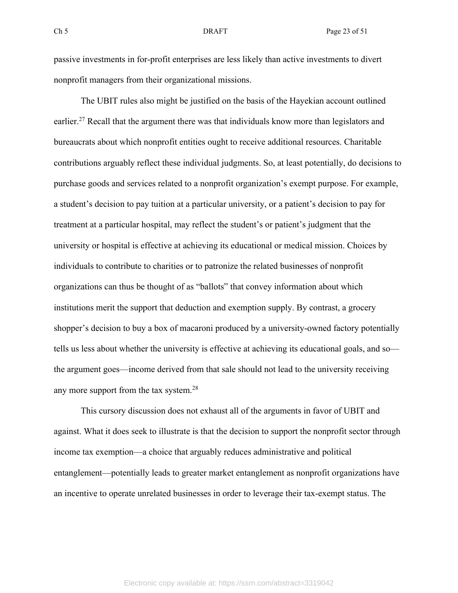passive investments in for-profit enterprises are less likely than active investments to divert nonprofit managers from their organizational missions.

The UBIT rules also might be justified on the basis of the Hayekian account outlined earlier.<sup>27</sup> Recall that the argument there was that individuals know more than legislators and bureaucrats about which nonprofit entities ought to receive additional resources. Charitable contributions arguably reflect these individual judgments. So, at least potentially, do decisions to purchase goods and services related to a nonprofit organization's exempt purpose. For example, a student's decision to pay tuition at a particular university, or a patient's decision to pay for treatment at a particular hospital, may reflect the student's or patient's judgment that the university or hospital is effective at achieving its educational or medical mission. Choices by individuals to contribute to charities or to patronize the related businesses of nonprofit organizations can thus be thought of as "ballots" that convey information about which institutions merit the support that deduction and exemption supply. By contrast, a grocery shopper's decision to buy a box of macaroni produced by a university-owned factory potentially tells us less about whether the university is effective at achieving its educational goals, and so the argument goes—income derived from that sale should not lead to the university receiving any more support from the tax system.28

This cursory discussion does not exhaust all of the arguments in favor of UBIT and against. What it does seek to illustrate is that the decision to support the nonprofit sector through income tax exemption—a choice that arguably reduces administrative and political entanglement—potentially leads to greater market entanglement as nonprofit organizations have an incentive to operate unrelated businesses in order to leverage their tax-exempt status. The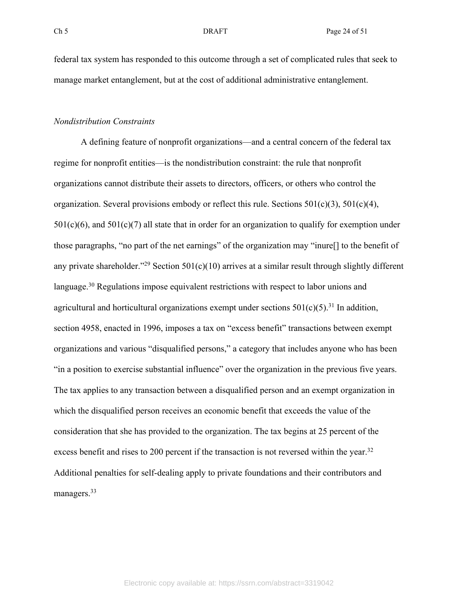federal tax system has responded to this outcome through a set of complicated rules that seek to manage market entanglement, but at the cost of additional administrative entanglement.

# *Nondistribution Constraints*

A defining feature of nonprofit organizations—and a central concern of the federal tax regime for nonprofit entities—is the nondistribution constraint: the rule that nonprofit organizations cannot distribute their assets to directors, officers, or others who control the organization. Several provisions embody or reflect this rule. Sections  $501(c)(3)$ ,  $501(c)(4)$ ,  $501(c)(6)$ , and  $501(c)(7)$  all state that in order for an organization to qualify for exemption under those paragraphs, "no part of the net earnings" of the organization may "inure[] to the benefit of any private shareholder."<sup>29</sup> Section 501(c)(10) arrives at a similar result through slightly different language.<sup>30</sup> Regulations impose equivalent restrictions with respect to labor unions and agricultural and horticultural organizations exempt under sections  $501(c)(5)$ .<sup>31</sup> In addition, section 4958, enacted in 1996, imposes a tax on "excess benefit" transactions between exempt organizations and various "disqualified persons," a category that includes anyone who has been "in a position to exercise substantial influence" over the organization in the previous five years. The tax applies to any transaction between a disqualified person and an exempt organization in which the disqualified person receives an economic benefit that exceeds the value of the consideration that she has provided to the organization. The tax begins at 25 percent of the excess benefit and rises to 200 percent if the transaction is not reversed within the year.<sup>32</sup> Additional penalties for self-dealing apply to private foundations and their contributors and managers.<sup>33</sup>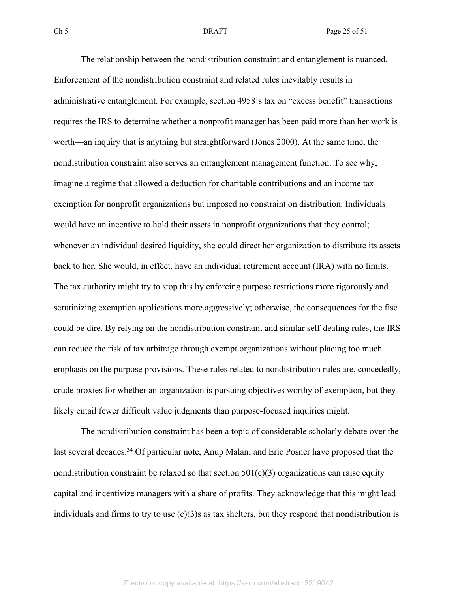The relationship between the nondistribution constraint and entanglement is nuanced. Enforcement of the nondistribution constraint and related rules inevitably results in administrative entanglement. For example, section 4958's tax on "excess benefit" transactions requires the IRS to determine whether a nonprofit manager has been paid more than her work is worth—an inquiry that is anything but straightforward (Jones 2000). At the same time, the nondistribution constraint also serves an entanglement management function. To see why, imagine a regime that allowed a deduction for charitable contributions and an income tax exemption for nonprofit organizations but imposed no constraint on distribution. Individuals would have an incentive to hold their assets in nonprofit organizations that they control; whenever an individual desired liquidity, she could direct her organization to distribute its assets back to her. She would, in effect, have an individual retirement account (IRA) with no limits. The tax authority might try to stop this by enforcing purpose restrictions more rigorously and scrutinizing exemption applications more aggressively; otherwise, the consequences for the fisc could be dire. By relying on the nondistribution constraint and similar self-dealing rules, the IRS can reduce the risk of tax arbitrage through exempt organizations without placing too much emphasis on the purpose provisions. These rules related to nondistribution rules are, concededly, crude proxies for whether an organization is pursuing objectives worthy of exemption, but they likely entail fewer difficult value judgments than purpose-focused inquiries might.

The nondistribution constraint has been a topic of considerable scholarly debate over the last several decades.<sup>34</sup> Of particular note, Anup Malani and Eric Posner have proposed that the nondistribution constraint be relaxed so that section  $501(c)(3)$  organizations can raise equity capital and incentivize managers with a share of profits. They acknowledge that this might lead individuals and firms to try to use  $(c)(3)$ s as tax shelters, but they respond that nondistribution is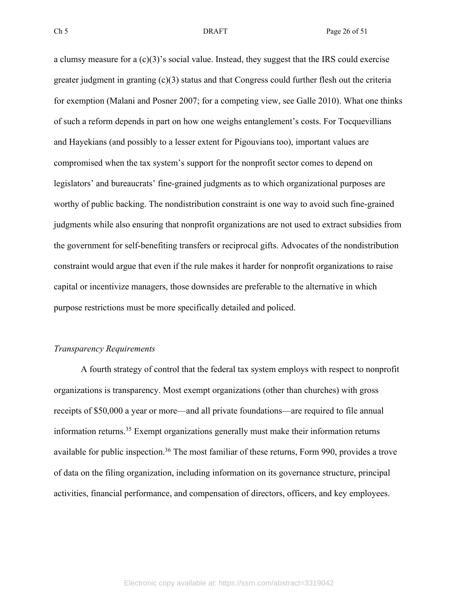a clumsy measure for a  $(c)(3)$ 's social value. Instead, they suggest that the IRS could exercise greater judgment in granting  $(c)(3)$  status and that Congress could further flesh out the criteria for exemption (Malani and Posner 2007; for a competing view, see Galle 2010). What one thinks of such a reform depends in part on how one weighs entanglement's costs. For Tocquevillians and Hayekians (and possibly to a lesser extent for Pigouvians too), important values are compromised when the tax system's support for the nonprofit sector comes to depend on legislators' and bureaucrats' fine-grained judgments as to which organizational purposes are worthy of public backing. The nondistribution constraint is one way to avoid such fine-grained judgments while also ensuring that nonprofit organizations are not used to extract subsidies from the government for self-benefiting transfers or reciprocal gifts. Advocates of the nondistribution constraint would argue that even if the rule makes it harder for nonprofit organizations to raise capital or incentivize managers, those downsides are preferable to the alternative in which purpose restrictions must be more specifically detailed and policed.

## *Transparency Requirements*

A fourth strategy of control that the federal tax system employs with respect to nonprofit organizations is transparency. Most exempt organizations (other than churches) with gross receipts of \$50,000 a year or more—and all private foundations—are required to file annual information returns.<sup>35</sup> Exempt organizations generally must make their information returns available for public inspection.<sup>36</sup> The most familiar of these returns, Form 990, provides a trove of data on the filing organization, including information on its governance structure, principal activities, financial performance, and compensation of directors, officers, and key employees.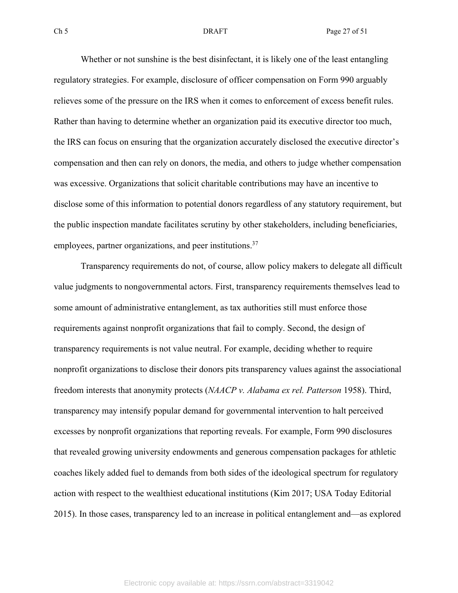Whether or not sunshine is the best disinfectant, it is likely one of the least entangling regulatory strategies. For example, disclosure of officer compensation on Form 990 arguably relieves some of the pressure on the IRS when it comes to enforcement of excess benefit rules. Rather than having to determine whether an organization paid its executive director too much, the IRS can focus on ensuring that the organization accurately disclosed the executive director's compensation and then can rely on donors, the media, and others to judge whether compensation was excessive. Organizations that solicit charitable contributions may have an incentive to disclose some of this information to potential donors regardless of any statutory requirement, but the public inspection mandate facilitates scrutiny by other stakeholders, including beneficiaries, employees, partner organizations, and peer institutions.<sup>37</sup>

Transparency requirements do not, of course, allow policy makers to delegate all difficult value judgments to nongovernmental actors. First, transparency requirements themselves lead to some amount of administrative entanglement, as tax authorities still must enforce those requirements against nonprofit organizations that fail to comply. Second, the design of transparency requirements is not value neutral. For example, deciding whether to require nonprofit organizations to disclose their donors pits transparency values against the associational freedom interests that anonymity protects (*NAACP v. Alabama ex rel. Patterson* 1958). Third, transparency may intensify popular demand for governmental intervention to halt perceived excesses by nonprofit organizations that reporting reveals. For example, Form 990 disclosures that revealed growing university endowments and generous compensation packages for athletic coaches likely added fuel to demands from both sides of the ideological spectrum for regulatory action with respect to the wealthiest educational institutions (Kim 2017; USA Today Editorial 2015). In those cases, transparency led to an increase in political entanglement and—as explored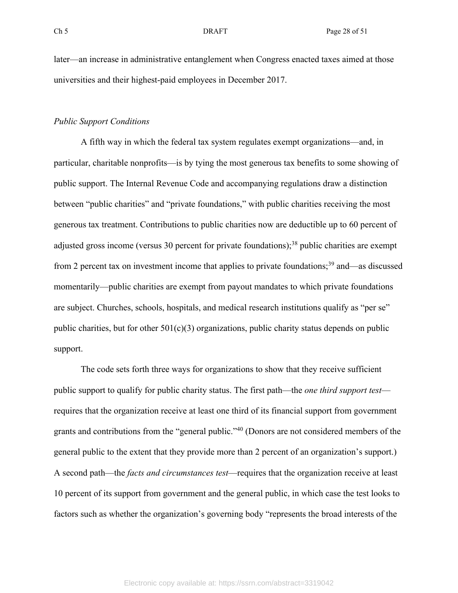later—an increase in administrative entanglement when Congress enacted taxes aimed at those universities and their highest-paid employees in December 2017.

# *Public Support Conditions*

A fifth way in which the federal tax system regulates exempt organizations—and, in particular, charitable nonprofits—is by tying the most generous tax benefits to some showing of public support. The Internal Revenue Code and accompanying regulations draw a distinction between "public charities" and "private foundations," with public charities receiving the most generous tax treatment. Contributions to public charities now are deductible up to 60 percent of adjusted gross income (versus 30 percent for private foundations);<sup>38</sup> public charities are exempt from 2 percent tax on investment income that applies to private foundations;<sup>39</sup> and—as discussed momentarily—public charities are exempt from payout mandates to which private foundations are subject. Churches, schools, hospitals, and medical research institutions qualify as "per se" public charities, but for other  $501(c)(3)$  organizations, public charity status depends on public support.

The code sets forth three ways for organizations to show that they receive sufficient public support to qualify for public charity status. The first path—the *one third support test* requires that the organization receive at least one third of its financial support from government grants and contributions from the "general public."40 (Donors are not considered members of the general public to the extent that they provide more than 2 percent of an organization's support.) A second path—the *facts and circumstances test*—requires that the organization receive at least 10 percent of its support from government and the general public, in which case the test looks to factors such as whether the organization's governing body "represents the broad interests of the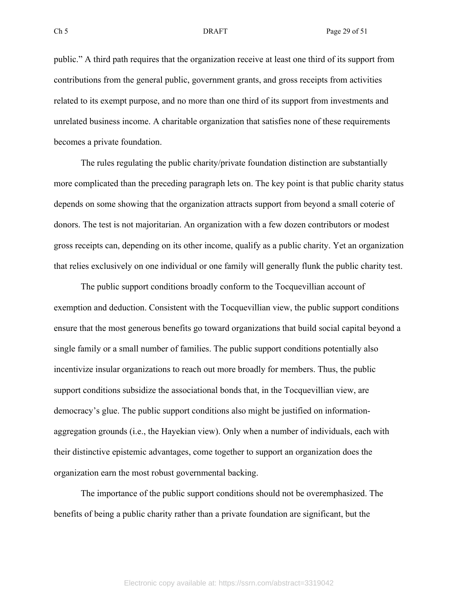public." A third path requires that the organization receive at least one third of its support from contributions from the general public, government grants, and gross receipts from activities related to its exempt purpose, and no more than one third of its support from investments and unrelated business income. A charitable organization that satisfies none of these requirements becomes a private foundation.

The rules regulating the public charity/private foundation distinction are substantially more complicated than the preceding paragraph lets on. The key point is that public charity status depends on some showing that the organization attracts support from beyond a small coterie of donors. The test is not majoritarian. An organization with a few dozen contributors or modest gross receipts can, depending on its other income, qualify as a public charity. Yet an organization that relies exclusively on one individual or one family will generally flunk the public charity test.

The public support conditions broadly conform to the Tocquevillian account of exemption and deduction. Consistent with the Tocquevillian view, the public support conditions ensure that the most generous benefits go toward organizations that build social capital beyond a single family or a small number of families. The public support conditions potentially also incentivize insular organizations to reach out more broadly for members. Thus, the public support conditions subsidize the associational bonds that, in the Tocquevillian view, are democracy's glue. The public support conditions also might be justified on informationaggregation grounds (i.e., the Hayekian view). Only when a number of individuals, each with their distinctive epistemic advantages, come together to support an organization does the organization earn the most robust governmental backing.

The importance of the public support conditions should not be overemphasized. The benefits of being a public charity rather than a private foundation are significant, but the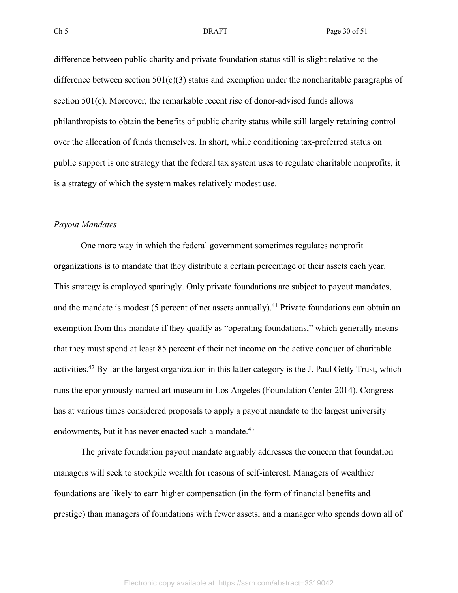difference between public charity and private foundation status still is slight relative to the difference between section  $501(c)(3)$  status and exemption under the noncharitable paragraphs of section 501(c). Moreover, the remarkable recent rise of donor-advised funds allows philanthropists to obtain the benefits of public charity status while still largely retaining control over the allocation of funds themselves. In short, while conditioning tax-preferred status on public support is one strategy that the federal tax system uses to regulate charitable nonprofits, it is a strategy of which the system makes relatively modest use.

# *Payout Mandates*

One more way in which the federal government sometimes regulates nonprofit organizations is to mandate that they distribute a certain percentage of their assets each year. This strategy is employed sparingly. Only private foundations are subject to payout mandates, and the mandate is modest (5 percent of net assets annually).<sup>41</sup> Private foundations can obtain an exemption from this mandate if they qualify as "operating foundations," which generally means that they must spend at least 85 percent of their net income on the active conduct of charitable activities.42 By far the largest organization in this latter category is the J. Paul Getty Trust, which runs the eponymously named art museum in Los Angeles (Foundation Center 2014). Congress has at various times considered proposals to apply a payout mandate to the largest university endowments, but it has never enacted such a mandate.<sup>43</sup>

The private foundation payout mandate arguably addresses the concern that foundation managers will seek to stockpile wealth for reasons of self-interest. Managers of wealthier foundations are likely to earn higher compensation (in the form of financial benefits and prestige) than managers of foundations with fewer assets, and a manager who spends down all of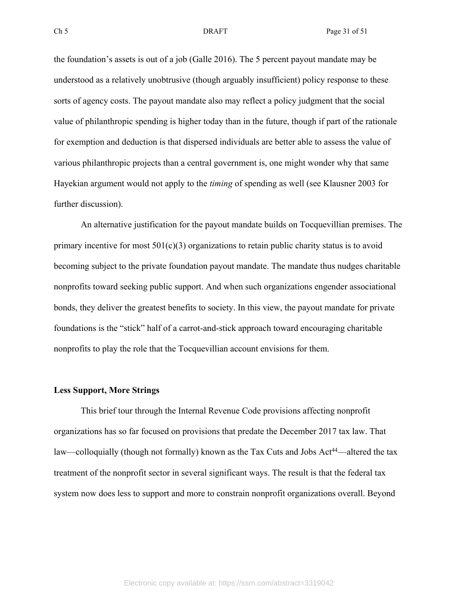the foundation's assets is out of a job (Galle 2016). The 5 percent payout mandate may be understood as a relatively unobtrusive (though arguably insufficient) policy response to these sorts of agency costs. The payout mandate also may reflect a policy judgment that the social value of philanthropic spending is higher today than in the future, though if part of the rationale for exemption and deduction is that dispersed individuals are better able to assess the value of various philanthropic projects than a central government is, one might wonder why that same Hayekian argument would not apply to the *timing* of spending as well (see Klausner 2003 for further discussion).

An alternative justification for the payout mandate builds on Tocquevillian premises. The primary incentive for most  $501(c)(3)$  organizations to retain public charity status is to avoid becoming subject to the private foundation payout mandate. The mandate thus nudges charitable nonprofits toward seeking public support. And when such organizations engender associational bonds, they deliver the greatest benefits to society. In this view, the payout mandate for private foundations is the "stick" half of a carrot-and-stick approach toward encouraging charitable nonprofits to play the role that the Tocquevillian account envisions for them.

### **Less Support, More Strings**

This brief tour through the Internal Revenue Code provisions affecting nonprofit organizations has so far focused on provisions that predate the December 2017 tax law. That law—colloquially (though not formally) known as the Tax Cuts and Jobs Act<sup>44</sup>—altered the tax treatment of the nonprofit sector in several significant ways. The result is that the federal tax system now does less to support and more to constrain nonprofit organizations overall. Beyond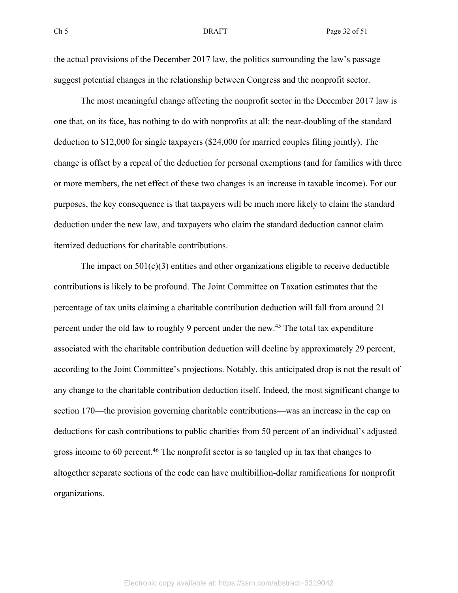the actual provisions of the December 2017 law, the politics surrounding the law's passage suggest potential changes in the relationship between Congress and the nonprofit sector.

The most meaningful change affecting the nonprofit sector in the December 2017 law is one that, on its face, has nothing to do with nonprofits at all: the near-doubling of the standard deduction to \$12,000 for single taxpayers (\$24,000 for married couples filing jointly). The change is offset by a repeal of the deduction for personal exemptions (and for families with three or more members, the net effect of these two changes is an increase in taxable income). For our purposes, the key consequence is that taxpayers will be much more likely to claim the standard deduction under the new law, and taxpayers who claim the standard deduction cannot claim itemized deductions for charitable contributions.

The impact on  $501(c)(3)$  entities and other organizations eligible to receive deductible contributions is likely to be profound. The Joint Committee on Taxation estimates that the percentage of tax units claiming a charitable contribution deduction will fall from around 21 percent under the old law to roughly 9 percent under the new.45 The total tax expenditure associated with the charitable contribution deduction will decline by approximately 29 percent, according to the Joint Committee's projections. Notably, this anticipated drop is not the result of any change to the charitable contribution deduction itself. Indeed, the most significant change to section 170—the provision governing charitable contributions—was an increase in the cap on deductions for cash contributions to public charities from 50 percent of an individual's adjusted gross income to 60 percent.<sup>46</sup> The nonprofit sector is so tangled up in tax that changes to altogether separate sections of the code can have multibillion-dollar ramifications for nonprofit organizations.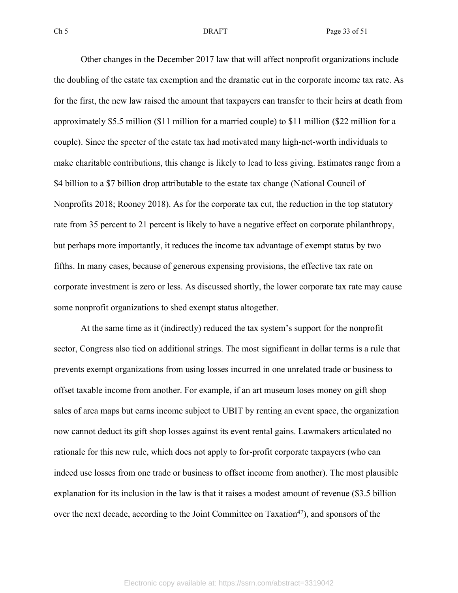Other changes in the December 2017 law that will affect nonprofit organizations include the doubling of the estate tax exemption and the dramatic cut in the corporate income tax rate. As for the first, the new law raised the amount that taxpayers can transfer to their heirs at death from approximately \$5.5 million (\$11 million for a married couple) to \$11 million (\$22 million for a couple). Since the specter of the estate tax had motivated many high-net-worth individuals to make charitable contributions, this change is likely to lead to less giving. Estimates range from a \$4 billion to a \$7 billion drop attributable to the estate tax change (National Council of Nonprofits 2018; Rooney 2018). As for the corporate tax cut, the reduction in the top statutory rate from 35 percent to 21 percent is likely to have a negative effect on corporate philanthropy, but perhaps more importantly, it reduces the income tax advantage of exempt status by two fifths. In many cases, because of generous expensing provisions, the effective tax rate on corporate investment is zero or less. As discussed shortly, the lower corporate tax rate may cause some nonprofit organizations to shed exempt status altogether.

At the same time as it (indirectly) reduced the tax system's support for the nonprofit sector, Congress also tied on additional strings. The most significant in dollar terms is a rule that prevents exempt organizations from using losses incurred in one unrelated trade or business to offset taxable income from another. For example, if an art museum loses money on gift shop sales of area maps but earns income subject to UBIT by renting an event space, the organization now cannot deduct its gift shop losses against its event rental gains. Lawmakers articulated no rationale for this new rule, which does not apply to for-profit corporate taxpayers (who can indeed use losses from one trade or business to offset income from another). The most plausible explanation for its inclusion in the law is that it raises a modest amount of revenue (\$3.5 billion over the next decade, according to the Joint Committee on Taxation<sup>47</sup>), and sponsors of the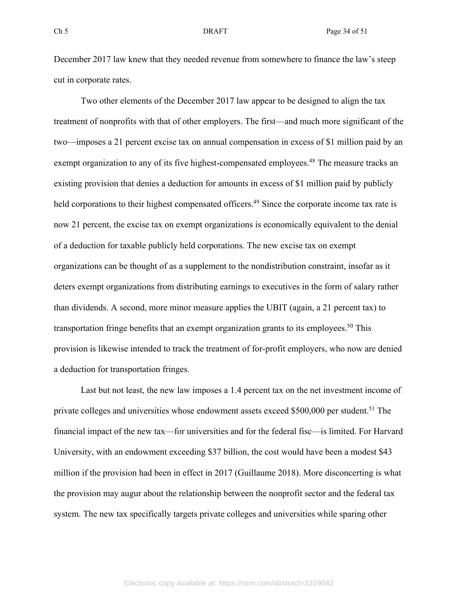December 2017 law knew that they needed revenue from somewhere to finance the law's steep cut in corporate rates.

Two other elements of the December 2017 law appear to be designed to align the tax treatment of nonprofits with that of other employers. The first—and much more significant of the two—imposes a 21 percent excise tax on annual compensation in excess of \$1 million paid by an exempt organization to any of its five highest-compensated employees.<sup>48</sup> The measure tracks an existing provision that denies a deduction for amounts in excess of \$1 million paid by publicly held corporations to their highest compensated officers.<sup>49</sup> Since the corporate income tax rate is now 21 percent, the excise tax on exempt organizations is economically equivalent to the denial of a deduction for taxable publicly held corporations. The new excise tax on exempt organizations can be thought of as a supplement to the nondistribution constraint, insofar as it deters exempt organizations from distributing earnings to executives in the form of salary rather than dividends. A second, more minor measure applies the UBIT (again, a 21 percent tax) to transportation fringe benefits that an exempt organization grants to its employees.<sup>50</sup> This provision is likewise intended to track the treatment of for-profit employers, who now are denied a deduction for transportation fringes.

Last but not least, the new law imposes a 1.4 percent tax on the net investment income of private colleges and universities whose endowment assets exceed \$500,000 per student.<sup>51</sup> The financial impact of the new tax—for universities and for the federal fisc—is limited. For Harvard University, with an endowment exceeding \$37 billion, the cost would have been a modest \$43 million if the provision had been in effect in 2017 (Guillaume 2018). More disconcerting is what the provision may augur about the relationship between the nonprofit sector and the federal tax system. The new tax specifically targets private colleges and universities while sparing other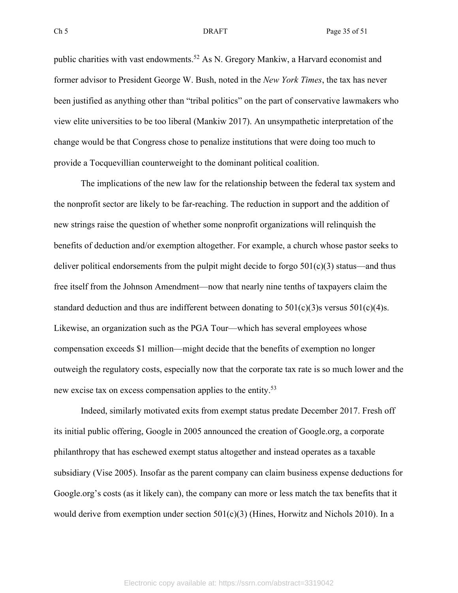public charities with vast endowments.<sup>52</sup> As N. Gregory Mankiw, a Harvard economist and former advisor to President George W. Bush, noted in the *New York Times*, the tax has never been justified as anything other than "tribal politics" on the part of conservative lawmakers who view elite universities to be too liberal (Mankiw 2017). An unsympathetic interpretation of the change would be that Congress chose to penalize institutions that were doing too much to provide a Tocquevillian counterweight to the dominant political coalition.

The implications of the new law for the relationship between the federal tax system and the nonprofit sector are likely to be far-reaching. The reduction in support and the addition of new strings raise the question of whether some nonprofit organizations will relinquish the benefits of deduction and/or exemption altogether. For example, a church whose pastor seeks to deliver political endorsements from the pulpit might decide to forgo  $501(c)(3)$  status—and thus free itself from the Johnson Amendment—now that nearly nine tenths of taxpayers claim the standard deduction and thus are indifferent between donating to  $501(c)(3)$ s versus  $501(c)(4)$ s. Likewise, an organization such as the PGA Tour—which has several employees whose compensation exceeds \$1 million—might decide that the benefits of exemption no longer outweigh the regulatory costs, especially now that the corporate tax rate is so much lower and the new excise tax on excess compensation applies to the entity.<sup>53</sup>

Indeed, similarly motivated exits from exempt status predate December 2017. Fresh off its initial public offering, Google in 2005 announced the creation of Google.org, a corporate philanthropy that has eschewed exempt status altogether and instead operates as a taxable subsidiary (Vise 2005). Insofar as the parent company can claim business expense deductions for Google.org's costs (as it likely can), the company can more or less match the tax benefits that it would derive from exemption under section 501(c)(3) (Hines, Horwitz and Nichols 2010). In a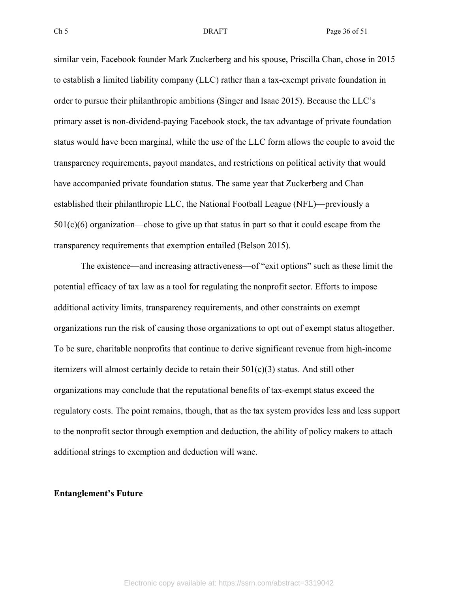similar vein, Facebook founder Mark Zuckerberg and his spouse, Priscilla Chan, chose in 2015 to establish a limited liability company (LLC) rather than a tax-exempt private foundation in order to pursue their philanthropic ambitions (Singer and Isaac 2015). Because the LLC's primary asset is non-dividend-paying Facebook stock, the tax advantage of private foundation status would have been marginal, while the use of the LLC form allows the couple to avoid the transparency requirements, payout mandates, and restrictions on political activity that would have accompanied private foundation status. The same year that Zuckerberg and Chan established their philanthropic LLC, the National Football League (NFL)—previously a  $501(c)(6)$  organization—chose to give up that status in part so that it could escape from the transparency requirements that exemption entailed (Belson 2015).

The existence—and increasing attractiveness—of "exit options" such as these limit the potential efficacy of tax law as a tool for regulating the nonprofit sector. Efforts to impose additional activity limits, transparency requirements, and other constraints on exempt organizations run the risk of causing those organizations to opt out of exempt status altogether. To be sure, charitable nonprofits that continue to derive significant revenue from high-income itemizers will almost certainly decide to retain their  $501(c)(3)$  status. And still other organizations may conclude that the reputational benefits of tax-exempt status exceed the regulatory costs. The point remains, though, that as the tax system provides less and less support to the nonprofit sector through exemption and deduction, the ability of policy makers to attach additional strings to exemption and deduction will wane.

### **Entanglement's Future**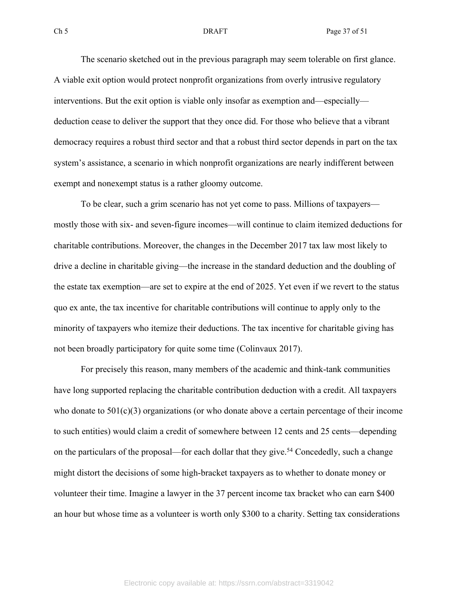The scenario sketched out in the previous paragraph may seem tolerable on first glance. A viable exit option would protect nonprofit organizations from overly intrusive regulatory interventions. But the exit option is viable only insofar as exemption and—especially deduction cease to deliver the support that they once did. For those who believe that a vibrant democracy requires a robust third sector and that a robust third sector depends in part on the tax system's assistance, a scenario in which nonprofit organizations are nearly indifferent between exempt and nonexempt status is a rather gloomy outcome.

To be clear, such a grim scenario has not yet come to pass. Millions of taxpayers mostly those with six- and seven-figure incomes—will continue to claim itemized deductions for charitable contributions. Moreover, the changes in the December 2017 tax law most likely to drive a decline in charitable giving—the increase in the standard deduction and the doubling of the estate tax exemption—are set to expire at the end of 2025. Yet even if we revert to the status quo ex ante, the tax incentive for charitable contributions will continue to apply only to the minority of taxpayers who itemize their deductions. The tax incentive for charitable giving has not been broadly participatory for quite some time (Colinvaux 2017).

For precisely this reason, many members of the academic and think-tank communities have long supported replacing the charitable contribution deduction with a credit. All taxpayers who donate to  $501(c)(3)$  organizations (or who donate above a certain percentage of their income to such entities) would claim a credit of somewhere between 12 cents and 25 cents—depending on the particulars of the proposal—for each dollar that they give.<sup>54</sup> Concededly, such a change might distort the decisions of some high-bracket taxpayers as to whether to donate money or volunteer their time. Imagine a lawyer in the 37 percent income tax bracket who can earn \$400 an hour but whose time as a volunteer is worth only \$300 to a charity. Setting tax considerations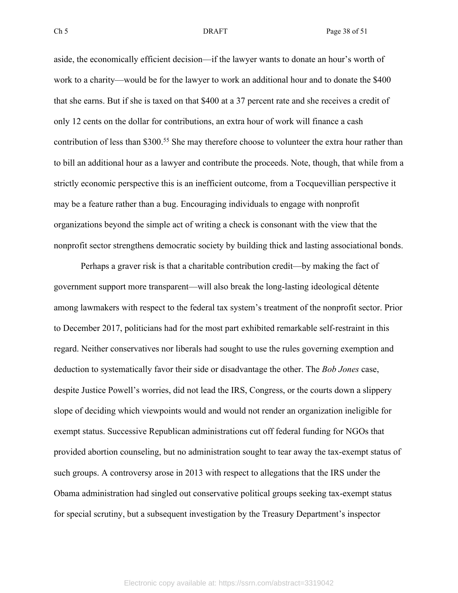aside, the economically efficient decision—if the lawyer wants to donate an hour's worth of work to a charity—would be for the lawyer to work an additional hour and to donate the \$400 that she earns. But if she is taxed on that \$400 at a 37 percent rate and she receives a credit of only 12 cents on the dollar for contributions, an extra hour of work will finance a cash contribution of less than \$300.<sup>55</sup> She may therefore choose to volunteer the extra hour rather than to bill an additional hour as a lawyer and contribute the proceeds. Note, though, that while from a strictly economic perspective this is an inefficient outcome, from a Tocquevillian perspective it may be a feature rather than a bug. Encouraging individuals to engage with nonprofit organizations beyond the simple act of writing a check is consonant with the view that the nonprofit sector strengthens democratic society by building thick and lasting associational bonds.

Perhaps a graver risk is that a charitable contribution credit—by making the fact of government support more transparent—will also break the long-lasting ideological détente among lawmakers with respect to the federal tax system's treatment of the nonprofit sector. Prior to December 2017, politicians had for the most part exhibited remarkable self-restraint in this regard. Neither conservatives nor liberals had sought to use the rules governing exemption and deduction to systematically favor their side or disadvantage the other. The *Bob Jones* case, despite Justice Powell's worries, did not lead the IRS, Congress, or the courts down a slippery slope of deciding which viewpoints would and would not render an organization ineligible for exempt status. Successive Republican administrations cut off federal funding for NGOs that provided abortion counseling, but no administration sought to tear away the tax-exempt status of such groups. A controversy arose in 2013 with respect to allegations that the IRS under the Obama administration had singled out conservative political groups seeking tax-exempt status for special scrutiny, but a subsequent investigation by the Treasury Department's inspector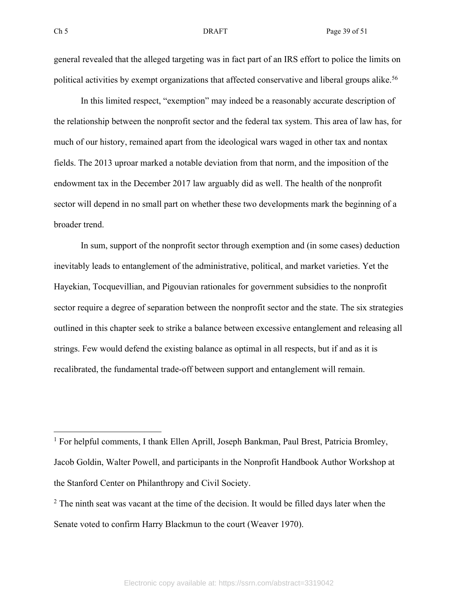general revealed that the alleged targeting was in fact part of an IRS effort to police the limits on political activities by exempt organizations that affected conservative and liberal groups alike.<sup>56</sup>

In this limited respect, "exemption" may indeed be a reasonably accurate description of the relationship between the nonprofit sector and the federal tax system. This area of law has, for much of our history, remained apart from the ideological wars waged in other tax and nontax fields. The 2013 uproar marked a notable deviation from that norm, and the imposition of the endowment tax in the December 2017 law arguably did as well. The health of the nonprofit sector will depend in no small part on whether these two developments mark the beginning of a broader trend.

In sum, support of the nonprofit sector through exemption and (in some cases) deduction inevitably leads to entanglement of the administrative, political, and market varieties. Yet the Hayekian, Tocquevillian, and Pigouvian rationales for government subsidies to the nonprofit sector require a degree of separation between the nonprofit sector and the state. The six strategies outlined in this chapter seek to strike a balance between excessive entanglement and releasing all strings. Few would defend the existing balance as optimal in all respects, but if and as it is recalibrated, the fundamental trade-off between support and entanglement will remain.

<sup>&</sup>lt;sup>1</sup> For helpful comments, I thank Ellen Aprill, Joseph Bankman, Paul Brest, Patricia Bromley, Jacob Goldin, Walter Powell, and participants in the Nonprofit Handbook Author Workshop at the Stanford Center on Philanthropy and Civil Society.

 $2$  The ninth seat was vacant at the time of the decision. It would be filled days later when the Senate voted to confirm Harry Blackmun to the court (Weaver 1970).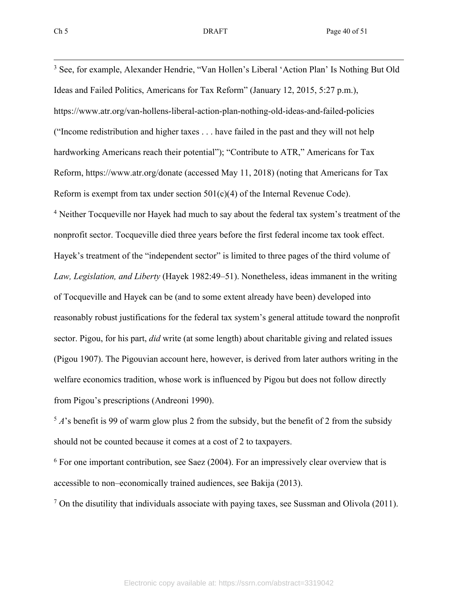<sup>3</sup> See, for example, Alexander Hendrie, "Van Hollen's Liberal 'Action Plan' Is Nothing But Old Ideas and Failed Politics, Americans for Tax Reform" (January 12, 2015, 5:27 p.m.), https://www.atr.org/van-hollens-liberal-action-plan-nothing-old-ideas-and-failed-policies ("Income redistribution and higher taxes . . . have failed in the past and they will not help hardworking Americans reach their potential"); "Contribute to ATR," Americans for Tax Reform, https://www.atr.org/donate (accessed May 11, 2018) (noting that Americans for Tax Reform is exempt from tax under section 501(c)(4) of the Internal Revenue Code). <sup>4</sup> Neither Tocqueville nor Hayek had much to say about the federal tax system's treatment of the nonprofit sector. Tocqueville died three years before the first federal income tax took effect. Hayek's treatment of the "independent sector" is limited to three pages of the third volume of *Law, Legislation, and Liberty* (Hayek 1982:49–51). Nonetheless, ideas immanent in the writing of Tocqueville and Hayek can be (and to some extent already have been) developed into reasonably robust justifications for the federal tax system's general attitude toward the nonprofit sector. Pigou, for his part, *did* write (at some length) about charitable giving and related issues (Pigou 1907). The Pigouvian account here, however, is derived from later authors writing in the welfare economics tradition, whose work is influenced by Pigou but does not follow directly from Pigou's prescriptions (Andreoni 1990).

 $5 A$ 's benefit is 99 of warm glow plus 2 from the subsidy, but the benefit of 2 from the subsidy should not be counted because it comes at a cost of 2 to taxpayers.

 $6$  For one important contribution, see Saez (2004). For an impressively clear overview that is accessible to non–economically trained audiences, see Bakija (2013).

 $<sup>7</sup>$  On the disutility that individuals associate with paying taxes, see Sussman and Olivola (2011).</sup>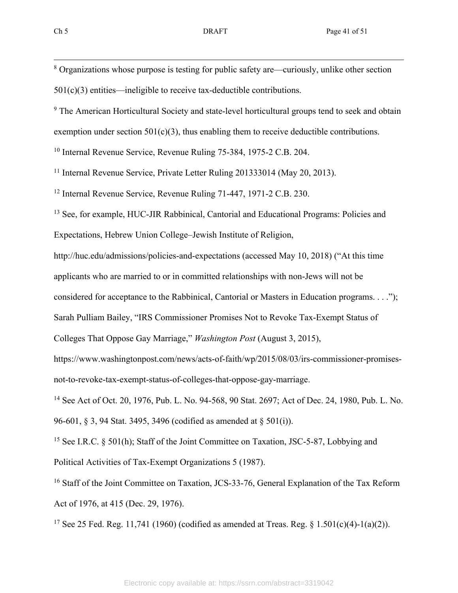<sup>8</sup> Organizations whose purpose is testing for public safety are—curiously, unlike other section  $501(c)(3)$  entities—ineligible to receive tax-deductible contributions.

<sup>9</sup> The American Horticultural Society and state-level horticultural groups tend to seek and obtain exemption under section  $501(c)(3)$ , thus enabling them to receive deductible contributions.

<sup>10</sup> Internal Revenue Service, Revenue Ruling 75-384, 1975-2 C.B. 204.

<sup>11</sup> Internal Revenue Service, Private Letter Ruling 201333014 (May 20, 2013).

<sup>12</sup> Internal Revenue Service, Revenue Ruling 71-447, 1971-2 C.B. 230.

<sup>13</sup> See, for example, HUC-JIR Rabbinical, Cantorial and Educational Programs: Policies and Expectations, Hebrew Union College–Jewish Institute of Religion,

http://huc.edu/admissions/policies-and-expectations (accessed May 10, 2018) ("At this time

applicants who are married to or in committed relationships with non-Jews will not be

considered for acceptance to the Rabbinical, Cantorial or Masters in Education programs. . . .");

Sarah Pulliam Bailey, "IRS Commissioner Promises Not to Revoke Tax-Exempt Status of

Colleges That Oppose Gay Marriage," *Washington Post* (August 3, 2015),

https://www.washingtonpost.com/news/acts-of-faith/wp/2015/08/03/irs-commissioner-promisesnot-to-revoke-tax-exempt-status-of-colleges-that-oppose-gay-marriage.

<sup>14</sup> See Act of Oct. 20, 1976, Pub. L. No. 94-568, 90 Stat. 2697; Act of Dec. 24, 1980, Pub. L. No.

96-601, § 3, 94 Stat. 3495, 3496 (codified as amended at § 501(i)).

<sup>15</sup> See I.R.C. § 501(h); Staff of the Joint Committee on Taxation, JSC-5-87, Lobbying and Political Activities of Tax-Exempt Organizations 5 (1987).

<sup>16</sup> Staff of the Joint Committee on Taxation, JCS-33-76, General Explanation of the Tax Reform Act of 1976, at 415 (Dec. 29, 1976).

<sup>17</sup> See 25 Fed. Reg. 11,741 (1960) (codified as amended at Treas. Reg. § 1.501(c)(4)-1(a)(2)).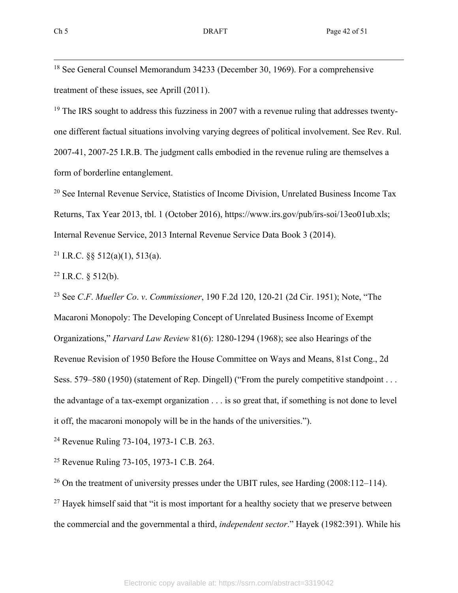<sup>18</sup> See General Counsel Memorandum 34233 (December 30, 1969). For a comprehensive treatment of these issues, see Aprill (2011).

 $19$  The IRS sought to address this fuzziness in 2007 with a revenue ruling that addresses twentyone different factual situations involving varying degrees of political involvement. See Rev. Rul. 2007-41, 2007-25 I.R.B. The judgment calls embodied in the revenue ruling are themselves a form of borderline entanglement.

<sup>20</sup> See Internal Revenue Service, Statistics of Income Division, Unrelated Business Income Tax Returns, Tax Year 2013, tbl. 1 (October 2016), https://www.irs.gov/pub/irs-soi/13eo01ub.xls; Internal Revenue Service, 2013 Internal Revenue Service Data Book 3 (2014).

<sup>21</sup> I.R.C. §§ 512(a)(1), 513(a).

 $22$  I.R.C. § 512(b).

<sup>23</sup> See *C*.*F*. *Mueller Co*. *v*. *Commissioner*, 190 F.2d 120, 120-21 (2d Cir. 1951); Note, "The Macaroni Monopoly: The Developing Concept of Unrelated Business Income of Exempt Organizations," *Harvard Law Review* 81(6): 1280-1294 (1968); see also Hearings of the Revenue Revision of 1950 Before the House Committee on Ways and Means, 81st Cong., 2d Sess. 579–580 (1950) (statement of Rep. Dingell) ("From the purely competitive standpoint ... the advantage of a tax-exempt organization . . . is so great that, if something is not done to level it off, the macaroni monopoly will be in the hands of the universities.").

<sup>24</sup> Revenue Ruling 73-104, 1973-1 C.B. 263.

<sup>25</sup> Revenue Ruling 73-105, 1973-1 C.B. 264.

<sup>26</sup> On the treatment of university presses under the UBIT rules, see Harding  $(2008:112-114)$ .

 $27$  Hayek himself said that "it is most important for a healthy society that we preserve between the commercial and the governmental a third, *independent sector*." Hayek (1982:391). While his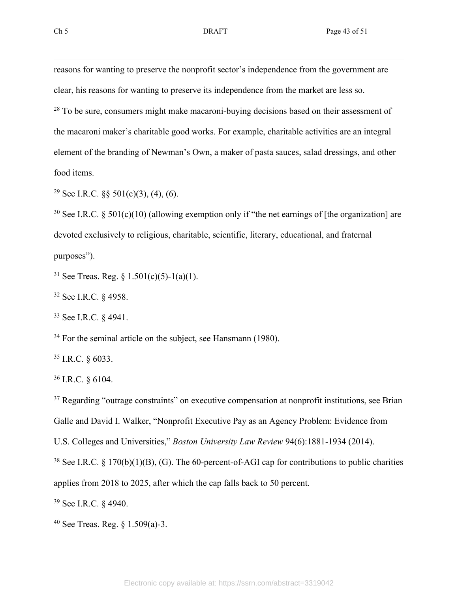reasons for wanting to preserve the nonprofit sector's independence from the government are clear, his reasons for wanting to preserve its independence from the market are less so.

<sup>28</sup> To be sure, consumers might make macaroni-buying decisions based on their assessment of the macaroni maker's charitable good works. For example, charitable activities are an integral element of the branding of Newman's Own, a maker of pasta sauces, salad dressings, and other food items.

<sup>29</sup> See I.R.C. §§ 501(c)(3), (4), (6).

<sup>30</sup> See I.R.C. § 501(c)(10) (allowing exemption only if "the net earnings of [the organization] are devoted exclusively to religious, charitable, scientific, literary, educational, and fraternal purposes").

<sup>31</sup> See Treas. Reg.  $\frac{1.501(c)(5)-1(a)(1)}{2}$ .

<sup>32</sup> See I.R.C. § 4958.

<sup>33</sup> See I.R.C. § 4941.

<sup>34</sup> For the seminal article on the subject, see Hansmann (1980).

<sup>35</sup> I.R.C. § 6033.

<sup>36</sup> I.R.C. § 6104.

<sup>37</sup> Regarding "outrage constraints" on executive compensation at nonprofit institutions, see Brian Galle and David I. Walker, "Nonprofit Executive Pay as an Agency Problem: Evidence from

U.S. Colleges and Universities," *Boston University Law Review* 94(6):1881-1934 (2014).

<sup>38</sup> See I.R.C. § 170(b)(1)(B), (G). The 60-percent-of-AGI cap for contributions to public charities applies from 2018 to 2025, after which the cap falls back to 50 percent.

<sup>39</sup> See I.R.C. § 4940.

<sup>40</sup> See Treas. Reg. § 1.509(a)-3.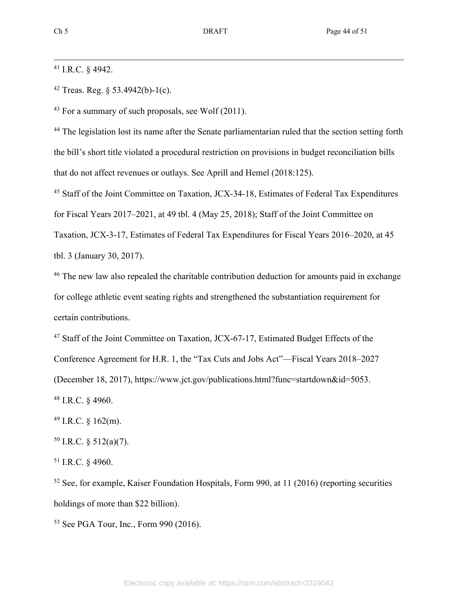<sup>41</sup> I.R.C. § 4942.

<sup>42</sup> Treas. Reg.  $\S$  53.4942(b)-1(c).

 $43$  For a summary of such proposals, see Wolf (2011).

<sup>44</sup> The legislation lost its name after the Senate parliamentarian ruled that the section setting forth the bill's short title violated a procedural restriction on provisions in budget reconciliation bills that do not affect revenues or outlays. See Aprill and Hemel (2018:125).

<sup>45</sup> Staff of the Joint Committee on Taxation, JCX-34-18, Estimates of Federal Tax Expenditures for Fiscal Years 2017–2021, at 49 tbl. 4 (May 25, 2018); Staff of the Joint Committee on Taxation, JCX-3-17, Estimates of Federal Tax Expenditures for Fiscal Years 2016–2020, at 45 tbl. 3 (January 30, 2017).

<sup>46</sup> The new law also repealed the charitable contribution deduction for amounts paid in exchange for college athletic event seating rights and strengthened the substantiation requirement for certain contributions.

<sup>47</sup> Staff of the Joint Committee on Taxation, JCX-67-17, Estimated Budget Effects of the Conference Agreement for H.R. 1, the "Tax Cuts and Jobs Act"—Fiscal Years 2018–2027 (December 18, 2017), https://www.jct.gov/publications.html?func=startdown&id=5053. <sup>48</sup> I.R.C. § 4960.

 $^{49}$  I.R.C.  $\frac{162}{m}$ .

 $50$  I.R.C.  $\frac{512(a)}{7}$ .

<sup>51</sup> I.R.C. § 4960.

 $52$  See, for example, Kaiser Foundation Hospitals, Form 990, at 11 (2016) (reporting securities holdings of more than \$22 billion).

<sup>53</sup> See PGA Tour, Inc., Form 990 (2016).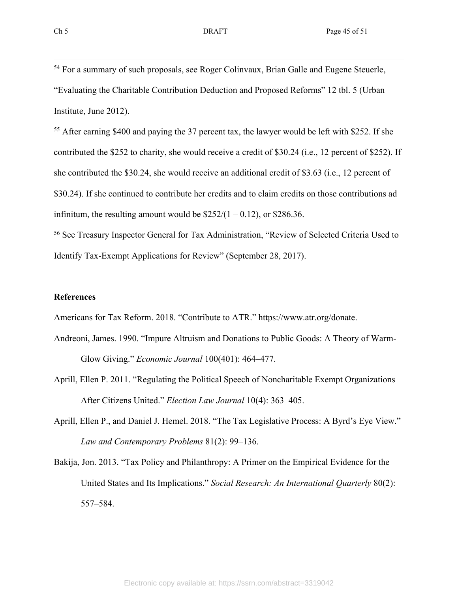<sup>54</sup> For a summary of such proposals, see Roger Colinvaux, Brian Galle and Eugene Steuerle, "Evaluating the Charitable Contribution Deduction and Proposed Reforms" 12 tbl. 5 (Urban Institute, June 2012).

<sup>55</sup> After earning \$400 and paying the 37 percent tax, the lawyer would be left with \$252. If she contributed the \$252 to charity, she would receive a credit of \$30.24 (i.e., 12 percent of \$252). If she contributed the \$30.24, she would receive an additional credit of \$3.63 (i.e., 12 percent of \$30.24). If she continued to contribute her credits and to claim credits on those contributions ad infinitum, the resulting amount would be  $$252/(1 - 0.12)$ , or \$286.36.

<sup>56</sup> See Treasury Inspector General for Tax Administration, "Review of Selected Criteria Used to Identify Tax-Exempt Applications for Review" (September 28, 2017).

# **References**

Americans for Tax Reform. 2018. "Contribute to ATR." https://www.atr.org/donate.

- Andreoni, James. 1990. "Impure Altruism and Donations to Public Goods: A Theory of Warm-Glow Giving." *Economic Journal* 100(401): 464–477.
- Aprill, Ellen P. 2011. "Regulating the Political Speech of Noncharitable Exempt Organizations After Citizens United." *Election Law Journal* 10(4): 363–405.
- Aprill, Ellen P., and Daniel J. Hemel. 2018. "The Tax Legislative Process: A Byrd's Eye View." *Law and Contemporary Problems* 81(2): 99–136.
- Bakija, Jon. 2013. "Tax Policy and Philanthropy: A Primer on the Empirical Evidence for the United States and Its Implications." *Social Research: An International Quarterly* 80(2): 557–584.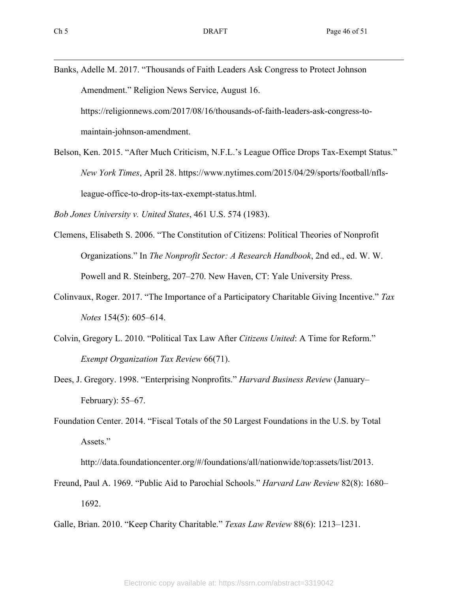Banks, Adelle M. 2017. "Thousands of Faith Leaders Ask Congress to Protect Johnson Amendment." Religion News Service, August 16. https://religionnews.com/2017/08/16/thousands-of-faith-leaders-ask-congress-tomaintain-johnson-amendment.

Belson, Ken. 2015. "After Much Criticism, N.F.L.'s League Office Drops Tax-Exempt Status." *New York Times*, April 28. https://www.nytimes.com/2015/04/29/sports/football/nflsleague-office-to-drop-its-tax-exempt-status.html.

*Bob Jones University v. United States*, 461 U.S. 574 (1983).

- Clemens, Elisabeth S. 2006. "The Constitution of Citizens: Political Theories of Nonprofit Organizations." In *The Nonprofit Sector: A Research Handbook*, 2nd ed., ed. W. W. Powell and R. Steinberg, 207–270. New Haven, CT: Yale University Press.
- Colinvaux, Roger. 2017. "The Importance of a Participatory Charitable Giving Incentive." *Tax Notes* 154(5): 605–614.
- Colvin, Gregory L. 2010. "Political Tax Law After *Citizens United*: A Time for Reform." *Exempt Organization Tax Review* 66(71).
- Dees, J. Gregory. 1998. "Enterprising Nonprofits." *Harvard Business Review* (January– February): 55–67.
- Foundation Center. 2014. "Fiscal Totals of the 50 Largest Foundations in the U.S. by Total Assets."

http://data.foundationcenter.org/#/foundations/all/nationwide/top:assets/list/2013.

Freund, Paul A. 1969. "Public Aid to Parochial Schools." *Harvard Law Review* 82(8): 1680– 1692.

Galle, Brian. 2010. "Keep Charity Charitable." *Texas Law Review* 88(6): 1213–1231.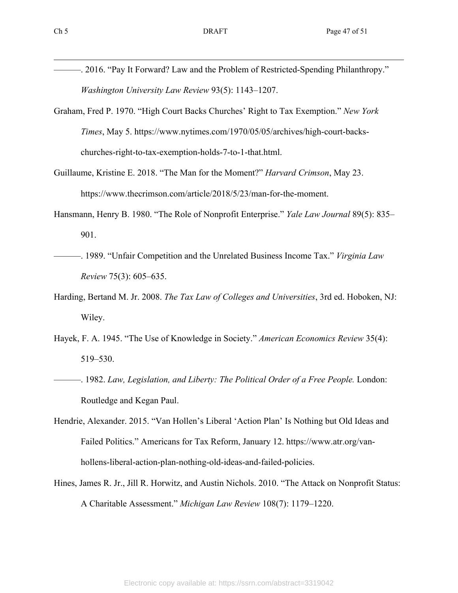- ———. 2016. "Pay It Forward? Law and the Problem of Restricted-Spending Philanthropy." *Washington University Law Review* 93(5): 1143–1207.
- Graham, Fred P. 1970. "High Court Backs Churches' Right to Tax Exemption." *New York Times*, May 5. https://www.nytimes.com/1970/05/05/archives/high-court-backschurches-right-to-tax-exemption-holds-7-to-1-that.html.
- Guillaume, Kristine E. 2018. "The Man for the Moment?" *Harvard Crimson*, May 23. https://www.thecrimson.com/article/2018/5/23/man-for-the-moment.
- Hansmann, Henry B. 1980. "The Role of Nonprofit Enterprise." *Yale Law Journal* 89(5): 835– 901.
- ———. 1989. "Unfair Competition and the Unrelated Business Income Tax." *Virginia Law Review* 75(3): 605–635.
- Harding, Bertand M. Jr. 2008. *The Tax Law of Colleges and Universities*, 3rd ed. Hoboken, NJ: Wiley.
- Hayek, F. A. 1945. "The Use of Knowledge in Society." *American Economics Review* 35(4): 519–530.
- ———. 1982. *Law, Legislation, and Liberty: The Political Order of a Free People.* London: Routledge and Kegan Paul.
- Hendrie, Alexander. 2015. "Van Hollen's Liberal 'Action Plan' Is Nothing but Old Ideas and Failed Politics." Americans for Tax Reform, January 12. https://www.atr.org/vanhollens-liberal-action-plan-nothing-old-ideas-and-failed-policies.
- Hines, James R. Jr., Jill R. Horwitz, and Austin Nichols. 2010. "The Attack on Nonprofit Status: A Charitable Assessment." *Michigan Law Review* 108(7): 1179–1220.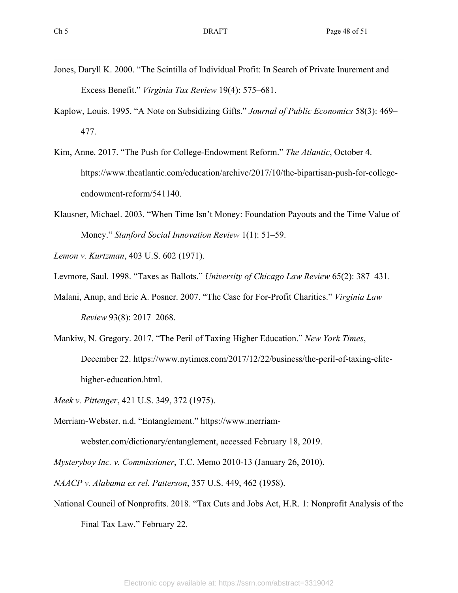- Jones, Daryll K. 2000. "The Scintilla of Individual Profit: In Search of Private Inurement and Excess Benefit." *Virginia Tax Review* 19(4): 575–681.
- Kaplow, Louis. 1995. "A Note on Subsidizing Gifts." *Journal of Public Economics* 58(3): 469– 477.
- Kim, Anne. 2017. "The Push for College-Endowment Reform." *The Atlantic*, October 4. https://www.theatlantic.com/education/archive/2017/10/the-bipartisan-push-for-collegeendowment-reform/541140.
- Klausner, Michael. 2003. "When Time Isn't Money: Foundation Payouts and the Time Value of Money." *Stanford Social Innovation Review* 1(1): 51–59.
- *Lemon v. Kurtzman*, 403 U.S. 602 (1971).
- Levmore, Saul. 1998. "Taxes as Ballots." *University of Chicago Law Review* 65(2): 387–431.
- Malani, Anup, and Eric A. Posner. 2007. "The Case for For-Profit Charities." *Virginia Law Review* 93(8): 2017–2068.
- Mankiw, N. Gregory. 2017. "The Peril of Taxing Higher Education." *New York Times*, December 22. https://www.nytimes.com/2017/12/22/business/the-peril-of-taxing-elitehigher-education.html.
- *Meek v. Pittenger*, 421 U.S. 349, 372 (1975).
- Merriam-Webster. n.d. "Entanglement." https://www.merriam
	- webster.com/dictionary/entanglement, accessed February 18, 2019.
- *Mysteryboy Inc. v. Commissioner*, T.C. Memo 2010-13 (January 26, 2010).
- *NAACP v. Alabama ex rel. Patterson*, 357 U.S. 449, 462 (1958).
- National Council of Nonprofits. 2018. "Tax Cuts and Jobs Act, H.R. 1: Nonprofit Analysis of the Final Tax Law." February 22.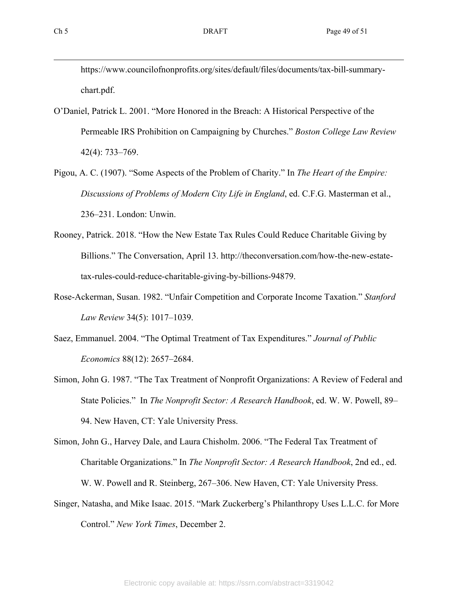https://www.councilofnonprofits.org/sites/default/files/documents/tax-bill-summarychart.pdf.

- O'Daniel, Patrick L. 2001. "More Honored in the Breach: A Historical Perspective of the Permeable IRS Prohibition on Campaigning by Churches." *Boston College Law Review* 42(4): 733–769.
- Pigou, A. C. (1907). "Some Aspects of the Problem of Charity." In *The Heart of the Empire: Discussions of Problems of Modern City Life in England*, ed. C.F.G. Masterman et al., 236–231. London: Unwin.
- Rooney, Patrick. 2018. "How the New Estate Tax Rules Could Reduce Charitable Giving by Billions." The Conversation, April 13. http://theconversation.com/how-the-new-estatetax-rules-could-reduce-charitable-giving-by-billions-94879.
- Rose-Ackerman, Susan. 1982. "Unfair Competition and Corporate Income Taxation." *Stanford Law Review* 34(5): 1017–1039.
- Saez, Emmanuel. 2004. "The Optimal Treatment of Tax Expenditures." *Journal of Public Economics* 88(12): 2657–2684.
- Simon, John G. 1987. "The Tax Treatment of Nonprofit Organizations: A Review of Federal and State Policies." In *The Nonprofit Sector: A Research Handbook*, ed. W. W. Powell, 89– 94. New Haven, CT: Yale University Press.
- Simon, John G., Harvey Dale, and Laura Chisholm. 2006. "The Federal Tax Treatment of Charitable Organizations." In *The Nonprofit Sector: A Research Handbook*, 2nd ed., ed. W. W. Powell and R. Steinberg, 267–306. New Haven, CT: Yale University Press.
- Singer, Natasha, and Mike Isaac. 2015. "Mark Zuckerberg's Philanthropy Uses L.L.C. for More Control." *New York Times*, December 2.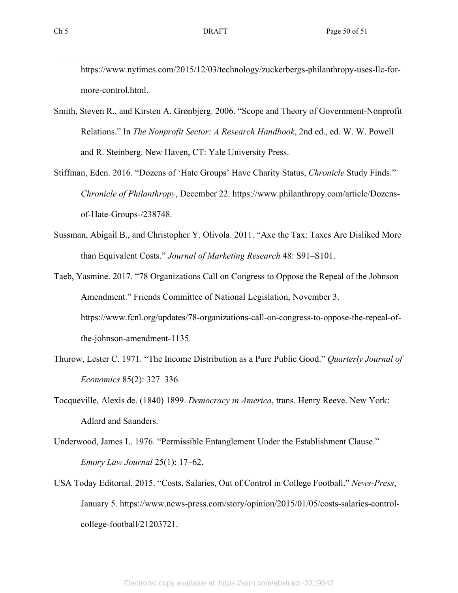https://www.nytimes.com/2015/12/03/technology/zuckerbergs-philanthropy-uses-llc-formore-control.html.

- Smith, Steven R., and Kirsten A. Grønbjerg. 2006. "Scope and Theory of Government-Nonprofit Relations." In *The Nonprofit Sector: A Research Handbook*, 2nd ed., ed. W. W. Powell and R. Steinberg. New Haven, CT: Yale University Press.
- Stiffman, Eden. 2016. "Dozens of 'Hate Groups' Have Charity Status, *Chronicle* Study Finds." *Chronicle of Philanthropy*, December 22. https://www.philanthropy.com/article/Dozensof-Hate-Groups-/238748.
- Sussman, Abigail B., and Christopher Y. Olivola. 2011. "Axe the Tax: Taxes Are Disliked More than Equivalent Costs." *Journal of Marketing Research* 48: S91–S101.
- Taeb, Yasmine. 2017. "78 Organizations Call on Congress to Oppose the Repeal of the Johnson Amendment." Friends Committee of National Legislation, November 3. https://www.fcnl.org/updates/78-organizations-call-on-congress-to-oppose-the-repeal-ofthe-johnson-amendment-1135.
- Thurow, Lester C. 1971. "The Income Distribution as a Pure Public Good." *Quarterly Journal of Economics* 85(2): 327–336.
- Tocqueville, Alexis de. (1840) 1899. *Democracy in America*, trans. Henry Reeve. New York: Adlard and Saunders.
- Underwood, James L. 1976. "Permissible Entanglement Under the Establishment Clause." *Emory Law Journal* 25(1): 17–62.
- USA Today Editorial. 2015. "Costs, Salaries, Out of Control in College Football." *News-Press*, January 5. https://www.news-press.com/story/opinion/2015/01/05/costs-salaries-controlcollege-football/21203721.